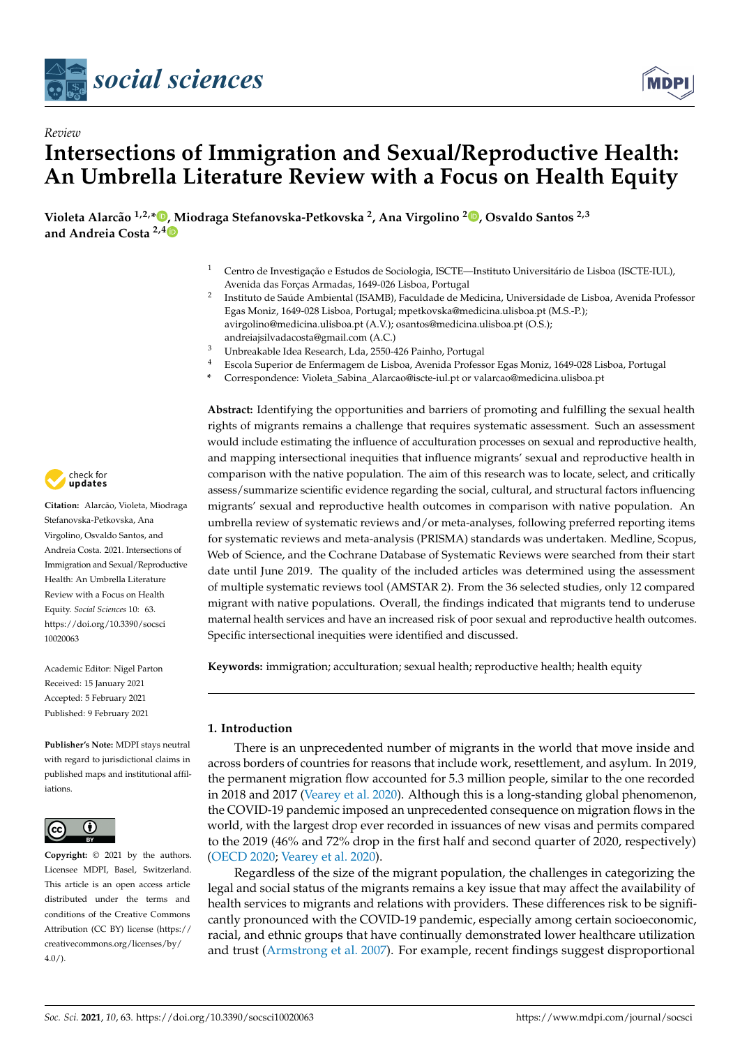



# *Review* **Intersections of Immigration and Sexual/Reproductive Health: An Umbrella Literature Review with a Focus on Health Equity**

**Violeta Alarcão 1,2,\* [,](https://orcid.org/0000-0002-4807-5904) Miodraga Stefanovska-Petkovska <sup>2</sup> , Ana Virgolino <sup>2</sup> [,](https://orcid.org/0000-0003-0428-6643) Osvaldo Santos 2,3 and Andreia Costa 2,[4](https://orcid.org/0000-0002-2727-4402)**

- <sup>1</sup> Centro de Investigação e Estudos de Sociologia, ISCTE—Instituto Universitário de Lisboa (ISCTE-IUL), Avenida das Forças Armadas, 1649-026 Lisboa, Portugal
- 2 Instituto de Saúde Ambiental (ISAMB), Faculdade de Medicina, Universidade de Lisboa, Avenida Professor Egas Moniz, 1649-028 Lisboa, Portugal; mpetkovska@medicina.ulisboa.pt (M.S.-P.); avirgolino@medicina.ulisboa.pt (A.V.); osantos@medicina.ulisboa.pt (O.S.); andreiajsilvadacosta@gmail.com (A.C.)
- <sup>3</sup> Unbreakable Idea Research, Lda, 2550-426 Painho, Portugal
- <sup>4</sup> Escola Superior de Enfermagem de Lisboa, Avenida Professor Egas Moniz, 1649-028 Lisboa, Portugal
- **\*** Correspondence: Violeta\_Sabina\_Alarcao@iscte-iul.pt or valarcao@medicina.ulisboa.pt

**Abstract:** Identifying the opportunities and barriers of promoting and fulfilling the sexual health rights of migrants remains a challenge that requires systematic assessment. Such an assessment would include estimating the influence of acculturation processes on sexual and reproductive health, and mapping intersectional inequities that influence migrants' sexual and reproductive health in comparison with the native population. The aim of this research was to locate, select, and critically assess/summarize scientific evidence regarding the social, cultural, and structural factors influencing migrants' sexual and reproductive health outcomes in comparison with native population. An umbrella review of systematic reviews and/or meta-analyses, following preferred reporting items for systematic reviews and meta-analysis (PRISMA) standards was undertaken. Medline, Scopus, Web of Science, and the Cochrane Database of Systematic Reviews were searched from their start date until June 2019. The quality of the included articles was determined using the assessment of multiple systematic reviews tool (AMSTAR 2). From the 36 selected studies, only 12 compared migrant with native populations. Overall, the findings indicated that migrants tend to underuse maternal health services and have an increased risk of poor sexual and reproductive health outcomes. Specific intersectional inequities were identified and discussed.

**Keywords:** immigration; acculturation; sexual health; reproductive health; health equity

# **1. Introduction**

There is an unprecedented number of migrants in the world that move inside and across borders of countries for reasons that include work, resettlement, and asylum. In 2019, the permanent migration flow accounted for 5.3 million people, similar to the one recorded in 2018 and 2017 [\(Vearey et al.](#page-27-0) [2020\)](#page-27-0). Although this is a long-standing global phenomenon, the COVID-19 pandemic imposed an unprecedented consequence on migration flows in the world, with the largest drop ever recorded in issuances of new visas and permits compared to the 2019 (46% and 72% drop in the first half and second quarter of 2020, respectively) [\(OECD](#page-26-0) [2020;](#page-26-0) [Vearey et al.](#page-27-0) [2020\)](#page-27-0).

Regardless of the size of the migrant population, the challenges in categorizing the legal and social status of the migrants remains a key issue that may affect the availability of health services to migrants and relations with providers. These differences risk to be significantly pronounced with the COVID-19 pandemic, especially among certain socioeconomic, racial, and ethnic groups that have continually demonstrated lower healthcare utilization and trust [\(Armstrong et al.](#page-25-0) [2007\)](#page-25-0). For example, recent findings suggest disproportional



**Citation:** Alarcão, Violeta, Miodraga Stefanovska-Petkovska, Ana Virgolino, Osvaldo Santos, and Andreia Costa. 2021. Intersections of Immigration and Sexual/Reproductive Health: An Umbrella Literature Review with a Focus on Health Equity. *Social Sciences* 10: 63. [https://doi.org/10.3390/socsci](https://doi.org/10.3390/socsci10020063) [10020063](https://doi.org/10.3390/socsci10020063)

Academic Editor: Nigel Parton Received: 15 January 2021 Accepted: 5 February 2021 Published: 9 February 2021

**Publisher's Note:** MDPI stays neutral with regard to jurisdictional claims in published maps and institutional affiliations.



**Copyright:** © 2021 by the authors. Licensee MDPI, Basel, Switzerland. This article is an open access article distributed under the terms and conditions of the Creative Commons Attribution (CC BY) license (https:/[/](https://creativecommons.org/licenses/by/4.0/) [creativecommons.org/licenses/by/](https://creativecommons.org/licenses/by/4.0/)  $4.0/$ ).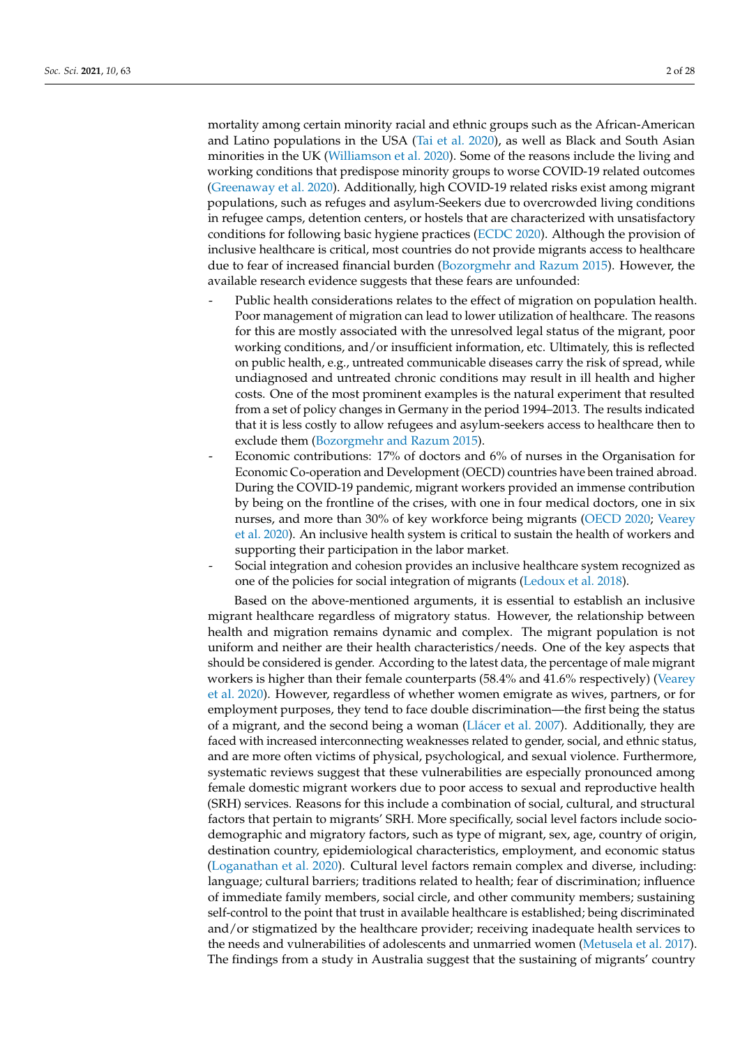mortality among certain minority racial and ethnic groups such as the African-American and Latino populations in the USA [\(Tai et al.](#page-27-1) [2020\)](#page-27-1), as well as Black and South Asian minorities in the UK [\(Williamson et al.](#page-27-2) [2020\)](#page-27-2). Some of the reasons include the living and working conditions that predispose minority groups to worse COVID-19 related outcomes [\(Greenaway et al.](#page-26-1) [2020\)](#page-26-1). Additionally, high COVID-19 related risks exist among migrant populations, such as refuges and asylum-Seekers due to overcrowded living conditions in refugee camps, detention centers, or hostels that are characterized with unsatisfactory conditions for following basic hygiene practices [\(ECDC](#page-25-1) [2020\)](#page-25-1). Although the provision of inclusive healthcare is critical, most countries do not provide migrants access to healthcare due to fear of increased financial burden [\(Bozorgmehr and Razum](#page-25-2) [2015\)](#page-25-2). However, the available research evidence suggests that these fears are unfounded:

- Public health considerations relates to the effect of migration on population health. Poor management of migration can lead to lower utilization of healthcare. The reasons for this are mostly associated with the unresolved legal status of the migrant, poor working conditions, and/or insufficient information, etc. Ultimately, this is reflected on public health, e.g., untreated communicable diseases carry the risk of spread, while undiagnosed and untreated chronic conditions may result in ill health and higher costs. One of the most prominent examples is the natural experiment that resulted from a set of policy changes in Germany in the period 1994–2013. The results indicated that it is less costly to allow refugees and asylum-seekers access to healthcare then to exclude them [\(Bozorgmehr and Razum](#page-25-2) [2015\)](#page-25-2).
- Economic contributions: 17% of doctors and 6% of nurses in the Organisation for Economic Co-operation and Development (OECD) countries have been trained abroad. During the COVID-19 pandemic, migrant workers provided an immense contribution by being on the frontline of the crises, with one in four medical doctors, one in six nurses, and more than 30% of key workforce being migrants [\(OECD](#page-26-0) [2020;](#page-26-0) [Vearey](#page-27-0) [et al.](#page-27-0) [2020\)](#page-27-0). An inclusive health system is critical to sustain the health of workers and supporting their participation in the labor market.
- Social integration and cohesion provides an inclusive healthcare system recognized as one of the policies for social integration of migrants [\(Ledoux et al.](#page-26-2) [2018\)](#page-26-2).

Based on the above-mentioned arguments, it is essential to establish an inclusive migrant healthcare regardless of migratory status. However, the relationship between health and migration remains dynamic and complex. The migrant population is not uniform and neither are their health characteristics/needs. One of the key aspects that should be considered is gender. According to the latest data, the percentage of male migrant workers is higher than their female counterparts (58.4% and 41.6% respectively) [\(Vearey](#page-27-0) [et al.](#page-27-0) [2020\)](#page-27-0). However, regardless of whether women emigrate as wives, partners, or for employment purposes, they tend to face double discrimination—the first being the status of a migrant, and the second being a woman (Llá[cer et al.](#page-26-3) [2007\)](#page-26-3). Additionally, they are faced with increased interconnecting weaknesses related to gender, social, and ethnic status, and are more often victims of physical, psychological, and sexual violence. Furthermore, systematic reviews suggest that these vulnerabilities are especially pronounced among female domestic migrant workers due to poor access to sexual and reproductive health (SRH) services. Reasons for this include a combination of social, cultural, and structural factors that pertain to migrants' SRH. More specifically, social level factors include sociodemographic and migratory factors, such as type of migrant, sex, age, country of origin, destination country, epidemiological characteristics, employment, and economic status [\(Loganathan et al.](#page-26-4) [2020\)](#page-26-4). Cultural level factors remain complex and diverse, including: language; cultural barriers; traditions related to health; fear of discrimination; influence of immediate family members, social circle, and other community members; sustaining self-control to the point that trust in available healthcare is established; being discriminated and/or stigmatized by the healthcare provider; receiving inadequate health services to the needs and vulnerabilities of adolescents and unmarried women [\(Metusela et al.](#page-26-5) [2017\)](#page-26-5). The findings from a study in Australia suggest that the sustaining of migrants' country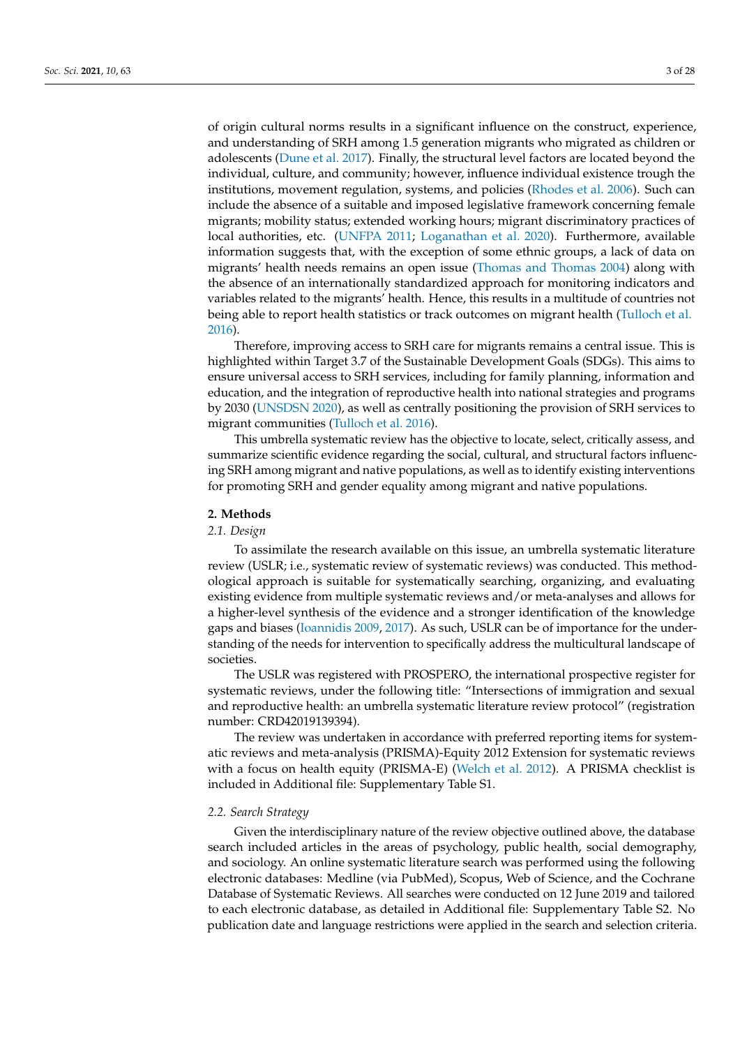of origin cultural norms results in a significant influence on the construct, experience, and understanding of SRH among 1.5 generation migrants who migrated as children or adolescents [\(Dune et al.](#page-25-3) [2017\)](#page-25-3). Finally, the structural level factors are located beyond the individual, culture, and community; however, influence individual existence trough the institutions, movement regulation, systems, and policies [\(Rhodes et al.](#page-27-3) [2006\)](#page-27-3). Such can include the absence of a suitable and imposed legislative framework concerning female migrants; mobility status; extended working hours; migrant discriminatory practices of local authorities, etc. [\(UNFPA](#page-27-4) [2011;](#page-27-4) [Loganathan et al.](#page-26-4) [2020\)](#page-26-4). Furthermore, available information suggests that, with the exception of some ethnic groups, a lack of data on migrants' health needs remains an open issue [\(Thomas and Thomas](#page-27-5) [2004\)](#page-27-5) along with the absence of an internationally standardized approach for monitoring indicators and variables related to the migrants' health. Hence, this results in a multitude of countries not being able to report health statistics or track outcomes on migrant health [\(Tulloch et al.](#page-27-6) [2016\)](#page-27-6).

Therefore, improving access to SRH care for migrants remains a central issue. This is highlighted within Target 3.7 of the Sustainable Development Goals (SDGs). This aims to ensure universal access to SRH services, including for family planning, information and education, and the integration of reproductive health into national strategies and programs by 2030 [\(UNSDSN](#page-27-7) [2020\)](#page-27-7), as well as centrally positioning the provision of SRH services to migrant communities [\(Tulloch et al.](#page-27-6) [2016\)](#page-27-6).

This umbrella systematic review has the objective to locate, select, critically assess, and summarize scientific evidence regarding the social, cultural, and structural factors influencing SRH among migrant and native populations, as well as to identify existing interventions for promoting SRH and gender equality among migrant and native populations.

## **2. Methods**

#### *2.1. Design*

To assimilate the research available on this issue, an umbrella systematic literature review (USLR; i.e., systematic review of systematic reviews) was conducted. This methodological approach is suitable for systematically searching, organizing, and evaluating existing evidence from multiple systematic reviews and/or meta-analyses and allows for a higher-level synthesis of the evidence and a stronger identification of the knowledge gaps and biases [\(Ioannidis](#page-26-6) [2009,](#page-26-6) [2017\)](#page-26-7). As such, USLR can be of importance for the understanding of the needs for intervention to specifically address the multicultural landscape of societies.

The USLR was registered with PROSPERO, the international prospective register for systematic reviews, under the following title: "Intersections of immigration and sexual and reproductive health: an umbrella systematic literature review protocol" (registration number: CRD42019139394).

The review was undertaken in accordance with preferred reporting items for systematic reviews and meta-analysis (PRISMA)-Equity 2012 Extension for systematic reviews with a focus on health equity (PRISMA-E) [\(Welch et al.](#page-27-8) [2012\)](#page-27-8). A PRISMA checklist is included in Additional file: Supplementary Table S1.

### *2.2. Search Strategy*

Given the interdisciplinary nature of the review objective outlined above, the database search included articles in the areas of psychology, public health, social demography, and sociology. An online systematic literature search was performed using the following electronic databases: Medline (via PubMed), Scopus, Web of Science, and the Cochrane Database of Systematic Reviews. All searches were conducted on 12 June 2019 and tailored to each electronic database, as detailed in Additional file: Supplementary Table S2. No publication date and language restrictions were applied in the search and selection criteria.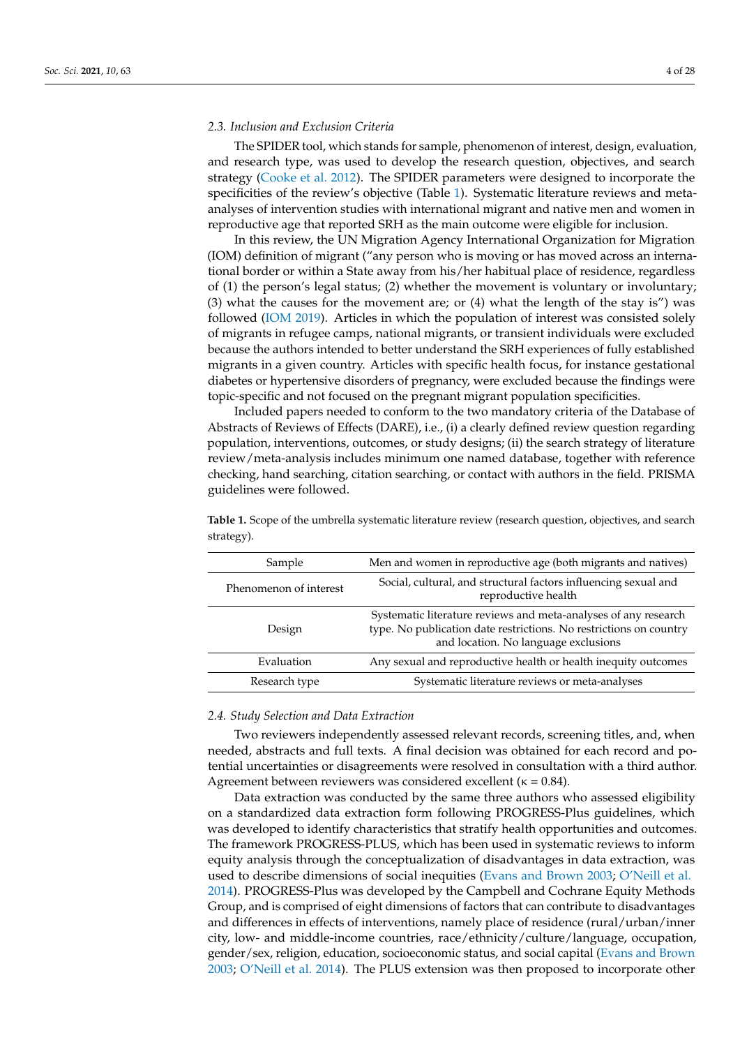# *2.3. Inclusion and Exclusion Criteria*

The SPIDER tool, which stands for sample, phenomenon of interest, design, evaluation, and research type, was used to develop the research question, objectives, and search strategy [\(Cooke et al.](#page-25-4) [2012\)](#page-25-4). The SPIDER parameters were designed to incorporate the specificities of the review's objective (Table [1\)](#page-3-0). Systematic literature reviews and metaanalyses of intervention studies with international migrant and native men and women in reproductive age that reported SRH as the main outcome were eligible for inclusion.

In this review, the UN Migration Agency International Organization for Migration (IOM) definition of migrant ("any person who is moving or has moved across an international border or within a State away from his/her habitual place of residence, regardless of (1) the person's legal status; (2) whether the movement is voluntary or involuntary; (3) what the causes for the movement are; or (4) what the length of the stay is") was followed [\(IOM](#page-26-8) [2019\)](#page-26-8). Articles in which the population of interest was consisted solely of migrants in refugee camps, national migrants, or transient individuals were excluded because the authors intended to better understand the SRH experiences of fully established migrants in a given country. Articles with specific health focus, for instance gestational diabetes or hypertensive disorders of pregnancy, were excluded because the findings were topic-specific and not focused on the pregnant migrant population specificities.

Included papers needed to conform to the two mandatory criteria of the Database of Abstracts of Reviews of Effects (DARE), i.e., (i) a clearly defined review question regarding population, interventions, outcomes, or study designs; (ii) the search strategy of literature review/meta-analysis includes minimum one named database, together with reference checking, hand searching, citation searching, or contact with authors in the field. PRISMA guidelines were followed.

| Sample                 | Men and women in reproductive age (both migrants and natives)                                                                                                                 |
|------------------------|-------------------------------------------------------------------------------------------------------------------------------------------------------------------------------|
| Phenomenon of interest | Social, cultural, and structural factors influencing sexual and<br>reproductive health                                                                                        |
| Design                 | Systematic literature reviews and meta-analyses of any research<br>type. No publication date restrictions. No restrictions on country<br>and location. No language exclusions |
| Evaluation             | Any sexual and reproductive health or health inequity outcomes                                                                                                                |
| Research type          | Systematic literature reviews or meta-analyses                                                                                                                                |

<span id="page-3-0"></span>**Table 1.** Scope of the umbrella systematic literature review (research question, objectives, and search strategy).

#### *2.4. Study Selection and Data Extraction*

Two reviewers independently assessed relevant records, screening titles, and, when needed, abstracts and full texts. A final decision was obtained for each record and potential uncertainties or disagreements were resolved in consultation with a third author. Agreement between reviewers was considered excellent ( $\kappa = 0.84$ ).

Data extraction was conducted by the same three authors who assessed eligibility on a standardized data extraction form following PROGRESS-Plus guidelines, which was developed to identify characteristics that stratify health opportunities and outcomes. The framework PROGRESS-PLUS, which has been used in systematic reviews to inform equity analysis through the conceptualization of disadvantages in data extraction, was used to describe dimensions of social inequities [\(Evans and Brown](#page-25-5) [2003;](#page-25-5) [O'Neill et al.](#page-26-9) [2014\)](#page-26-9). PROGRESS-Plus was developed by the Campbell and Cochrane Equity Methods Group, and is comprised of eight dimensions of factors that can contribute to disadvantages and differences in effects of interventions, namely place of residence (rural/urban/inner city, low- and middle-income countries, race/ethnicity/culture/language, occupation, gender/sex, religion, education, socioeconomic status, and social capital [\(Evans and Brown](#page-25-5) [2003;](#page-25-5) [O'Neill et al.](#page-26-9) [2014\)](#page-26-9). The PLUS extension was then proposed to incorporate other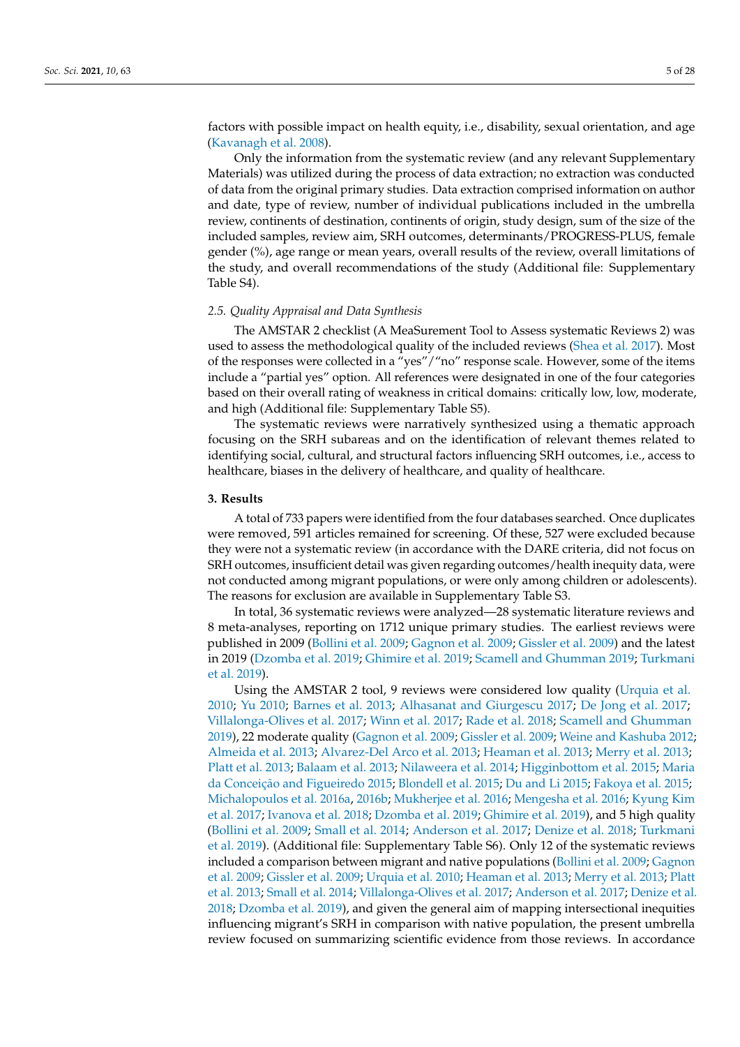factors with possible impact on health equity, i.e., disability, sexual orientation, and age [\(Kavanagh et al.](#page-26-10) [2008\)](#page-26-10).

Only the information from the systematic review (and any relevant Supplementary Materials) was utilized during the process of data extraction; no extraction was conducted of data from the original primary studies. Data extraction comprised information on author and date, type of review, number of individual publications included in the umbrella review, continents of destination, continents of origin, study design, sum of the size of the included samples, review aim, SRH outcomes, determinants/PROGRESS-PLUS, female gender (%), age range or mean years, overall results of the review, overall limitations of the study, and overall recommendations of the study (Additional file: Supplementary Table S4).

## *2.5. Quality Appraisal and Data Synthesis*

The AMSTAR 2 checklist (A MeaSurement Tool to Assess systematic Reviews 2) was used to assess the methodological quality of the included reviews [\(Shea et al.](#page-27-9) [2017\)](#page-27-9). Most of the responses were collected in a "yes"/"no" response scale. However, some of the items include a "partial yes" option. All references were designated in one of the four categories based on their overall rating of weakness in critical domains: critically low, low, moderate, and high (Additional file: Supplementary Table S5).

The systematic reviews were narratively synthesized using a thematic approach focusing on the SRH subareas and on the identification of relevant themes related to identifying social, cultural, and structural factors influencing SRH outcomes, i.e., access to healthcare, biases in the delivery of healthcare, and quality of healthcare.

# **3. Results**

A total of 733 papers were identified from the four databases searched. Once duplicates were removed, 591 articles remained for screening. Of these, 527 were excluded because they were not a systematic review (in accordance with the DARE criteria, did not focus on SRH outcomes, insufficient detail was given regarding outcomes/health inequity data, were not conducted among migrant populations, or were only among children or adolescents). The reasons for exclusion are available in Supplementary Table S3.

In total, 36 systematic reviews were analyzed—28 systematic literature reviews and 8 meta-analyses, reporting on 1712 unique primary studies. The earliest reviews were published in 2009 [\(Bollini et al.](#page-25-6) [2009;](#page-25-6) [Gagnon et al.](#page-25-7) [2009;](#page-25-7) [Gissler et al.](#page-25-8) [2009\)](#page-25-8) and the latest in 2019 [\(Dzomba et al.](#page-25-9) [2019;](#page-25-9) [Ghimire et al.](#page-25-10) [2019;](#page-25-10) [Scamell and Ghumman](#page-27-10) [2019;](#page-27-10) [Turkmani](#page-27-11) [et al.](#page-27-11) [2019\)](#page-27-11).

Using the AMSTAR 2 tool, 9 reviews were considered low quality [\(Urquia et al.](#page-27-12) [2010;](#page-27-12) [Yu](#page-27-13) [2010;](#page-27-13) [Barnes et al.](#page-25-11) [2013;](#page-25-11) [Alhasanat and Giurgescu](#page-24-0) [2017;](#page-24-0) [De Jong et al.](#page-25-12) [2017;](#page-25-12) [Villalonga-Olives et al.](#page-27-14) [2017;](#page-27-14) [Winn et al.](#page-27-15) [2017;](#page-27-15) [Rade et al.](#page-27-16) [2018;](#page-27-16) [Scamell and Ghumman](#page-27-10) [2019\)](#page-27-10), 22 moderate quality [\(Gagnon et al.](#page-25-7) [2009;](#page-25-7) [Gissler et al.](#page-25-8) [2009;](#page-25-8) [Weine and Kashuba](#page-27-17) [2012;](#page-27-17) [Almeida et al.](#page-25-13) [2013;](#page-25-13) [Alvarez-Del Arco et al.](#page-25-14) [2013;](#page-25-14) [Heaman et al.](#page-26-11) [2013;](#page-26-11) [Merry et al.](#page-26-12) [2013;](#page-26-12) [Platt et al.](#page-27-18) [2013;](#page-27-18) [Balaam et al.](#page-25-15) [2013;](#page-25-15) [Nilaweera et al.](#page-26-13) [2014;](#page-26-13) [Higginbottom et al.](#page-26-14) [2015;](#page-26-14) [Maria](#page-26-15) da Conceiçã[o and Figueiredo](#page-26-15) [2015;](#page-26-15) [Blondell et al.](#page-25-16) [2015;](#page-25-16) [Du and Li](#page-25-17) [2015;](#page-25-17) [Fakoya et al.](#page-25-18) [2015;](#page-25-18) [Michalopoulos et al.](#page-26-16) [2016a,](#page-26-16) [2016b;](#page-26-17) [Mukherjee et al.](#page-26-18) [2016;](#page-26-18) [Mengesha et al.](#page-26-19) [2016;](#page-26-19) [Kyung Kim](#page-26-20) [et al.](#page-26-20) [2017;](#page-26-20) [Ivanova et al.](#page-26-21) [2018;](#page-26-21) [Dzomba et al.](#page-25-9) [2019;](#page-25-9) [Ghimire et al.](#page-25-10) [2019\)](#page-25-10), and 5 high quality [\(Bollini et al.](#page-25-6) [2009;](#page-25-6) [Small et al.](#page-27-19) [2014;](#page-27-19) [Anderson et al.](#page-25-19) [2017;](#page-25-19) [Denize et al.](#page-25-20) [2018;](#page-25-20) [Turkmani](#page-27-11) [et al.](#page-27-11) [2019\)](#page-27-11). (Additional file: Supplementary Table S6). Only 12 of the systematic reviews included a comparison between migrant and native populations [\(Bollini et al.](#page-25-6) [2009;](#page-25-6) [Gagnon](#page-25-7) [et al.](#page-25-7) [2009;](#page-25-7) [Gissler et al.](#page-25-8) [2009;](#page-25-8) [Urquia et al.](#page-27-12) [2010;](#page-27-12) [Heaman et al.](#page-26-11) [2013;](#page-26-11) [Merry et al.](#page-26-12) [2013;](#page-26-12) [Platt](#page-27-18) [et al.](#page-27-18) [2013;](#page-27-18) [Small et al.](#page-27-19) [2014;](#page-27-19) [Villalonga-Olives et al.](#page-27-14) [2017;](#page-27-14) [Anderson et al.](#page-25-19) [2017;](#page-25-19) [Denize et al.](#page-25-20) [2018;](#page-25-20) [Dzomba et al.](#page-25-9) [2019\)](#page-25-9), and given the general aim of mapping intersectional inequities influencing migrant's SRH in comparison with native population, the present umbrella review focused on summarizing scientific evidence from those reviews. In accordance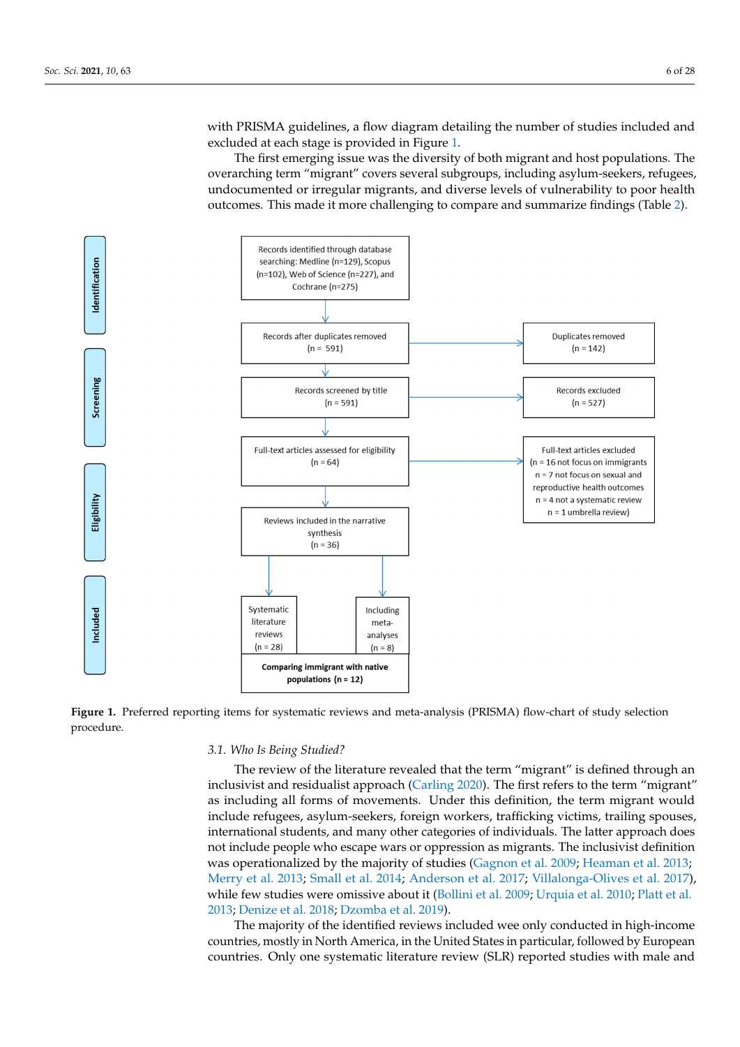with PRISMA guidelines, a flow diagram detailing the number of studies included and excluded at each stage is provided in Figure [1.](#page-5-0)

The first emerging issue was the diversity of both migrant and host populations. The The first emerging issue was the diversity of both migrant and host populations. The overarching term "migrant" covers several subgroups, including asylum-seekers, refugees, overarching term "migrant" covers several subgroups, including asylum-seekers, refugees, undocumented or irregular migrants, and diverse levels of vulnerability to poor health outcomes. This made it more challenging to compare and summarize findings (Table [2\)](#page-9-0).

<span id="page-5-0"></span>

Figure 1. Preferred reporting items for systematic reviews and meta-analysis (PRISMA) flow-chart of study selection procedure.

## *3.1. Who Is Being Studied?*

The review of the literature revealed that the term "migrant" is defined through an inclusivist and residualist approach (Carling 2020). The first refers to the term "migrant" as including all forms of movements. Under this definition, the term migrant would include refugees, asylum-seekers, foreign workers, trafficking victims, trailing spouses, not include people who escape wars or oppression as migrants. The inclusivist definition<br>not include people who escape wars or oppression as migrants. The inclusivist definition the latter of proper categories of the categories of individuals. The latter appro[ac](#page-26-12)h does used to individual the majority of studies [\(Gagnon et al.](#page-25-7) [2009;](#page-25-7) [Heaman et al.](#page-26-11) [2013;](#page-26-11) [Merry et al.](#page-26-12) [2013;](#page-26-12) [Small et al.](#page-27-19) [2014;](#page-27-19) [Anderson et al.](#page-25-19) [2017;](#page-25-19) [Villalonga-Olives et al.](#page-27-14) [2017\)](#page-27-14), while few studies were omissive about it (Bollini et al. 2009; [Urquia et al.](#page-27-12) 2010; Platt et al. [2013;](#page-27-18) [Denize et al.](#page-25-20) [2018;](#page-25-20) [Dzomba et al.](#page-25-9) [2019\)](#page-25-9). international students, and many other categories of individuals. The latter approach does

The majority of the identified reviews included wee only conducted in high-income 2011.11.2, mostry in ivolut micrica, in the Chica countries. Only one systematic literature review (SLR) reported studies with male and countries, mostly in North America, in the United States in particular, followed by European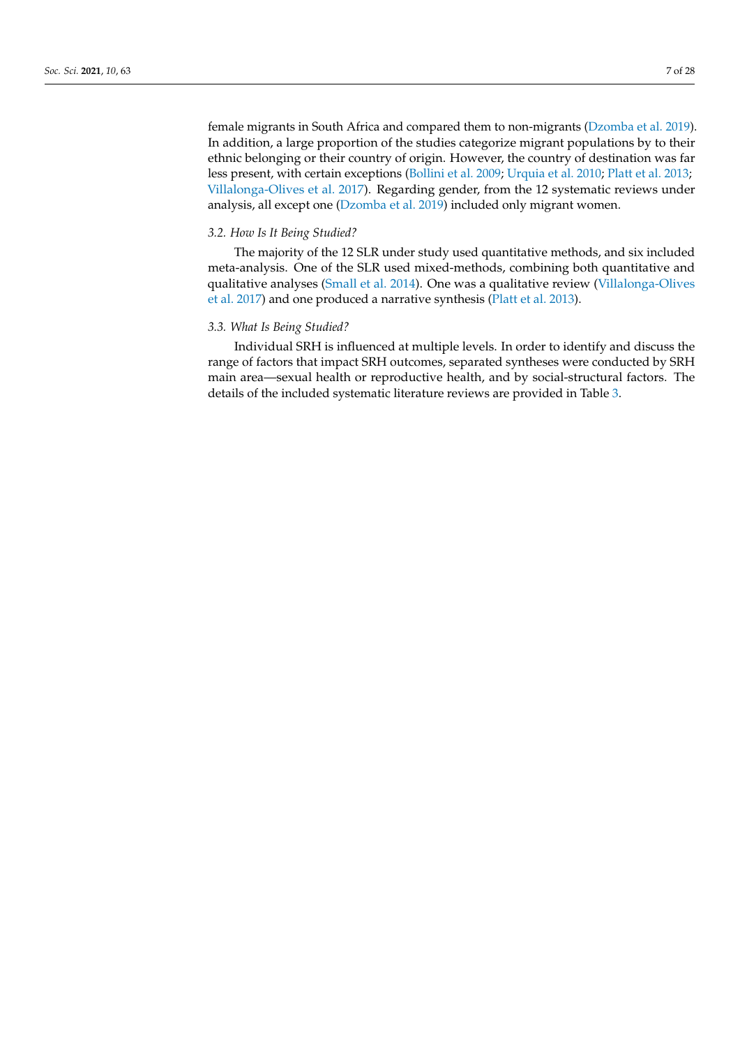female migrants in South Africa and compared them to non-migrants [\(Dzomba et al.](#page-25-9) [2019\)](#page-25-9). In addition, a large proportion of the studies categorize migrant populations by to their ethnic belonging or their country of origin. However, the country of destination was far less present, with certain exceptions [\(Bollini et al.](#page-25-6) [2009;](#page-25-6) [Urquia et al.](#page-27-12) [2010;](#page-27-12) [Platt et al.](#page-27-18) [2013;](#page-27-18) [Villalonga-Olives et al.](#page-27-14) [2017\)](#page-27-14). Regarding gender, from the 12 systematic reviews under analysis, all except one [\(Dzomba et al.](#page-25-9) [2019\)](#page-25-9) included only migrant women.

## *3.2. How Is It Being Studied?*

The majority of the 12 SLR under study used quantitative methods, and six included meta-analysis. One of the SLR used mixed-methods, combining both quantitative and qualitative analyses [\(Small et al.](#page-27-19) [2014\)](#page-27-19). One was a qualitative review [\(Villalonga-Olives](#page-27-14) [et al.](#page-27-14) [2017\)](#page-27-14) and one produced a narrative synthesis [\(Platt et al.](#page-27-18) [2013\)](#page-27-18).

## *3.3. What Is Being Studied?*

Individual SRH is influenced at multiple levels. In order to identify and discuss the range of factors that impact SRH outcomes, separated syntheses were conducted by SRH main area—sexual health or reproductive health, and by social-structural factors. The details of the included systematic literature reviews are provided in Table [3.](#page-16-0)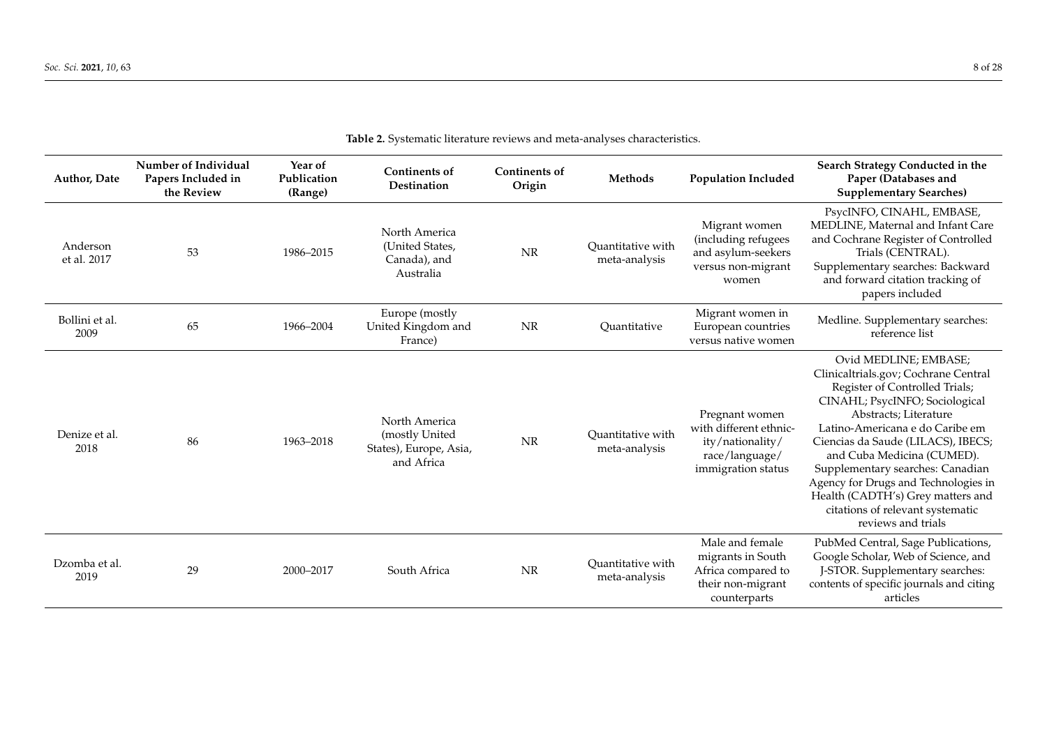| Author, Date            | Number of Individual<br>Papers Included in<br>the Review | Year of<br>Publication<br>(Range) | <b>Continents of</b><br>Destination                                     | <b>Continents of</b><br>Origin | Methods                            | <b>Population Included</b>                                                                           | Search Strategy Conducted in the<br>Paper (Databases and<br><b>Supplementary Searches)</b>                                                                                                                                                                                                                                                                                                                                                   |  |  |
|-------------------------|----------------------------------------------------------|-----------------------------------|-------------------------------------------------------------------------|--------------------------------|------------------------------------|------------------------------------------------------------------------------------------------------|----------------------------------------------------------------------------------------------------------------------------------------------------------------------------------------------------------------------------------------------------------------------------------------------------------------------------------------------------------------------------------------------------------------------------------------------|--|--|
| Anderson<br>et al. 2017 | 53                                                       | 1986-2015                         | North America<br>(United States,<br>Canada), and<br>Australia           | NR                             | Quantitative with<br>meta-analysis | Migrant women<br>(including refugees<br>and asylum-seekers<br>versus non-migrant<br>women            | PsycINFO, CINAHL, EMBASE,<br>MEDLINE, Maternal and Infant Care<br>and Cochrane Register of Controlled<br>Trials (CENTRAL).<br>Supplementary searches: Backward<br>and forward citation tracking of<br>papers included                                                                                                                                                                                                                        |  |  |
| Bollini et al.<br>2009  | 65                                                       | 1966-2004                         | Europe (mostly<br>United Kingdom and<br>France)                         | NR                             | Quantitative                       | Migrant women in<br>European countries<br>versus native women                                        | Medline. Supplementary searches:<br>reference list                                                                                                                                                                                                                                                                                                                                                                                           |  |  |
| Denize et al.<br>2018   | 86                                                       | 1963-2018                         | North America<br>(mostly United<br>States), Europe, Asia,<br>and Africa | $\rm{NR}$                      | Ouantitative with<br>meta-analysis | Pregnant women<br>with different ethnic-<br>ity/nationality/<br>race/language/<br>immigration status | Ovid MEDLINE; EMBASE;<br>Clinicaltrials.gov; Cochrane Central<br>Register of Controlled Trials;<br>CINAHL; PsycINFO; Sociological<br>Abstracts: Literature<br>Latino-Americana e do Caribe em<br>Ciencias da Saude (LILACS), IBECS;<br>and Cuba Medicina (CUMED).<br>Supplementary searches: Canadian<br>Agency for Drugs and Technologies in<br>Health (CADTH's) Grey matters and<br>citations of relevant systematic<br>reviews and trials |  |  |
| Dzomba et al.<br>2019   | 29                                                       | 2000-2017                         | South Africa                                                            | NR                             | Quantitative with<br>meta-analysis | Male and female<br>migrants in South<br>Africa compared to<br>their non-migrant<br>counterparts      | PubMed Central, Sage Publications,<br>Google Scholar, Web of Science, and<br>J-STOR. Supplementary searches:<br>contents of specific journals and citing<br>articles                                                                                                                                                                                                                                                                         |  |  |

|  | Table 2. Systematic literature reviews and meta-analyses characteristics. |
|--|---------------------------------------------------------------------------|
|--|---------------------------------------------------------------------------|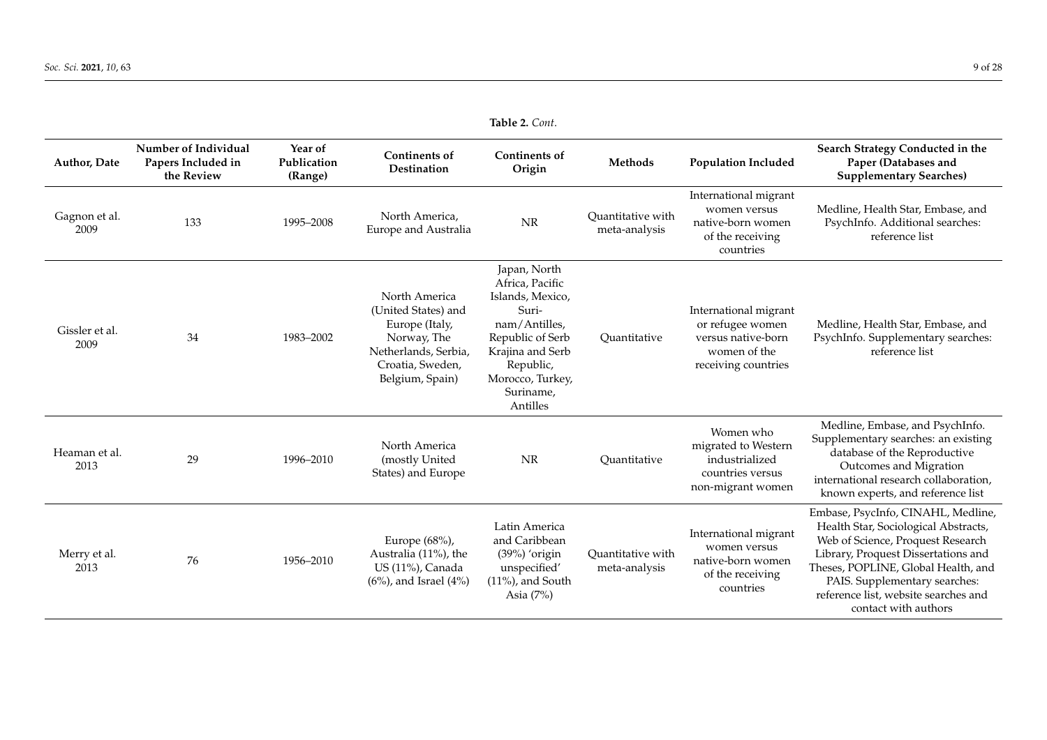| <b>Author, Date</b>    | Number of Individual<br>Papers Included in<br>the Review | Year of<br>Publication<br>(Range) | <b>Continents of</b><br>Destination                                                                                                  | Continents of<br>Origin                                                                                                                                                         | Methods                            | <b>Population Included</b>                                                                             | Search Strategy Conducted in the<br>Paper (Databases and<br><b>Supplementary Searches)</b>                                                                                                                                                                                                     |
|------------------------|----------------------------------------------------------|-----------------------------------|--------------------------------------------------------------------------------------------------------------------------------------|---------------------------------------------------------------------------------------------------------------------------------------------------------------------------------|------------------------------------|--------------------------------------------------------------------------------------------------------|------------------------------------------------------------------------------------------------------------------------------------------------------------------------------------------------------------------------------------------------------------------------------------------------|
| Gagnon et al.<br>2009  | 133                                                      | 1995-2008                         | North America,<br>Europe and Australia                                                                                               | <b>NR</b>                                                                                                                                                                       | Quantitative with<br>meta-analysis | International migrant<br>women versus<br>native-born women<br>of the receiving<br>countries            | Medline, Health Star, Embase, and<br>PsychInfo. Additional searches:<br>reference list                                                                                                                                                                                                         |
| Gissler et al.<br>2009 | 34                                                       | 1983-2002                         | North America<br>(United States) and<br>Europe (Italy,<br>Norway, The<br>Netherlands, Serbia,<br>Croatia, Sweden,<br>Belgium, Spain) | Japan, North<br>Africa, Pacific<br>Islands, Mexico,<br>Suri-<br>nam/Antilles,<br>Republic of Serb<br>Krajina and Serb<br>Republic,<br>Morocco, Turkey,<br>Suriname,<br>Antilles | Quantitative                       | International migrant<br>or refugee women<br>versus native-born<br>women of the<br>receiving countries | Medline, Health Star, Embase, and<br>PsychInfo. Supplementary searches:<br>reference list                                                                                                                                                                                                      |
| Heaman et al.<br>2013  | 29                                                       | 1996-2010                         | North America<br>(mostly United<br>States) and Europe                                                                                | <b>NR</b>                                                                                                                                                                       | Quantitative                       | Women who<br>migrated to Western<br>industrialized<br>countries versus<br>non-migrant women            | Medline, Embase, and PsychInfo.<br>Supplementary searches: an existing<br>database of the Reproductive<br>Outcomes and Migration<br>international research collaboration,<br>known experts, and reference list                                                                                 |
| Merry et al.<br>2013   | 76                                                       | 1956-2010                         | Europe (68%),<br>Australia (11%), the<br>US (11%), Canada<br>$(6%)$ , and Israel $(4%)$                                              | Latin America<br>and Caribbean<br>$(39\%)$ 'origin<br>unspecified'<br>$(11\%)$ , and South<br>Asia $(7%)$                                                                       | Quantitative with<br>meta-analysis | International migrant<br>women versus<br>native-born women<br>of the receiving<br>countries            | Embase, PsycInfo, CINAHL, Medline,<br>Health Star, Sociological Abstracts,<br>Web of Science, Proquest Research<br>Library, Proquest Dissertations and<br>Theses, POPLINE, Global Health, and<br>PAIS. Supplementary searches:<br>reference list, website searches and<br>contact with authors |

**Table 2.** *Cont*.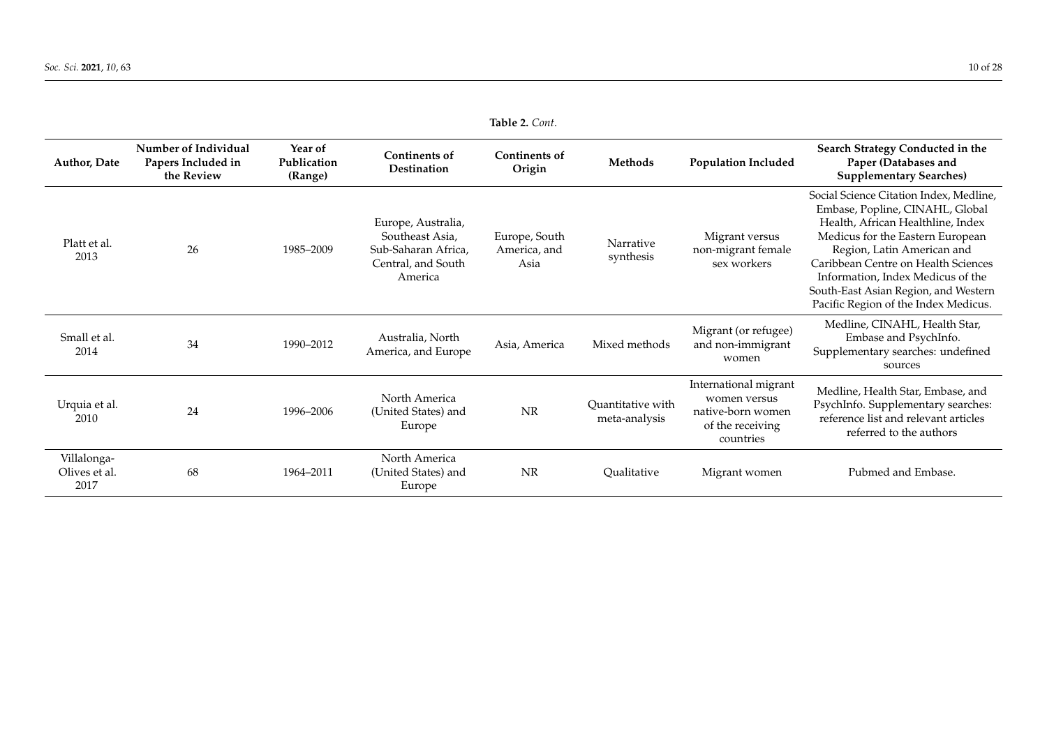<span id="page-9-0"></span>

| <b>Author, Date</b>                  | Number of Individual<br>Papers Included in<br>the Review | Year of<br>Publication<br>(Range) | <b>Continents of</b><br><b>Destination</b>                                                    | <b>Continents of</b><br>Origin        | Methods                            | <b>Population Included</b>                                                                  | Search Strategy Conducted in the<br>Paper (Databases and<br><b>Supplementary Searches)</b>                                                                                                                                                                                                                                                    |
|--------------------------------------|----------------------------------------------------------|-----------------------------------|-----------------------------------------------------------------------------------------------|---------------------------------------|------------------------------------|---------------------------------------------------------------------------------------------|-----------------------------------------------------------------------------------------------------------------------------------------------------------------------------------------------------------------------------------------------------------------------------------------------------------------------------------------------|
| Platt et al.<br>2013                 | 26                                                       | 1985-2009                         | Europe, Australia,<br>Southeast Asia,<br>Sub-Saharan Africa,<br>Central, and South<br>America | Europe, South<br>America, and<br>Asia | Narrative<br>synthesis             | Migrant versus<br>non-migrant female<br>sex workers                                         | Social Science Citation Index, Medline,<br>Embase, Popline, CINAHL, Global<br>Health, African Healthline, Index<br>Medicus for the Eastern European<br>Region, Latin American and<br>Caribbean Centre on Health Sciences<br>Information, Index Medicus of the<br>South-East Asian Region, and Western<br>Pacific Region of the Index Medicus. |
| Small et al.<br>2014                 | 34                                                       | 1990-2012                         | Australia, North<br>America, and Europe                                                       | Asia, America                         | Mixed methods                      | Migrant (or refugee)<br>and non-immigrant<br>women                                          | Medline, CINAHL, Health Star,<br>Embase and PsychInfo.<br>Supplementary searches: undefined<br>sources                                                                                                                                                                                                                                        |
| Urquia et al.<br>2010                | 24                                                       | 1996-2006                         | North America<br>(United States) and<br>Europe                                                | <b>NR</b>                             | Quantitative with<br>meta-analysis | International migrant<br>women versus<br>native-born women<br>of the receiving<br>countries | Medline, Health Star, Embase, and<br>PsychInfo. Supplementary searches:<br>reference list and relevant articles<br>referred to the authors                                                                                                                                                                                                    |
| Villalonga-<br>Olives et al.<br>2017 | 68                                                       | 1964-2011                         | North America<br>(United States) and<br>Europe                                                | NR                                    | Qualitative                        | Migrant women                                                                               | Pubmed and Embase.                                                                                                                                                                                                                                                                                                                            |

**Table 2.** *Cont*.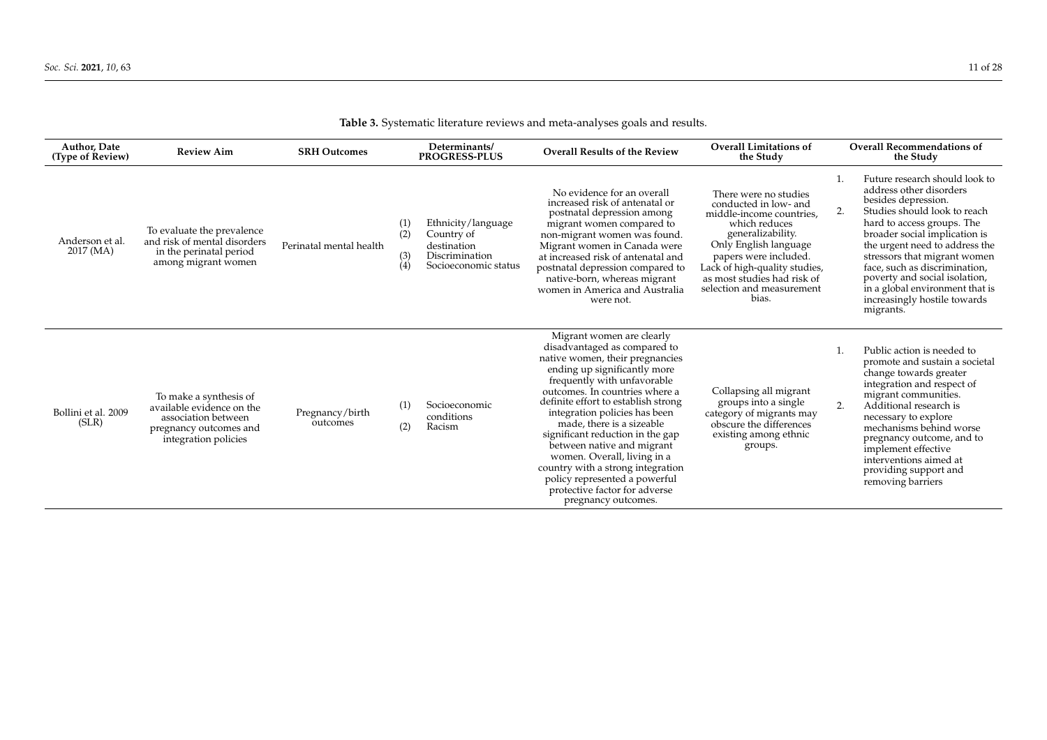| Author, Date<br>(Type of Review) | <b>Review Aim</b>                                                                                                            | <b>SRH Outcomes</b>         |                          | Determinants/<br><b>PROGRESS-PLUS</b>                                                     | <b>Overall Results of the Review</b>                                                                                                                                                                                                                                                                                                                                                                                                                                                                                              | <b>Overall Limitations of</b><br>the Study                                                                                                                                                                                                                               |    | <b>Overall Recommendations of</b><br>the Study                                                                                                                                                                                                                                                                                                                                                      |
|----------------------------------|------------------------------------------------------------------------------------------------------------------------------|-----------------------------|--------------------------|-------------------------------------------------------------------------------------------|-----------------------------------------------------------------------------------------------------------------------------------------------------------------------------------------------------------------------------------------------------------------------------------------------------------------------------------------------------------------------------------------------------------------------------------------------------------------------------------------------------------------------------------|--------------------------------------------------------------------------------------------------------------------------------------------------------------------------------------------------------------------------------------------------------------------------|----|-----------------------------------------------------------------------------------------------------------------------------------------------------------------------------------------------------------------------------------------------------------------------------------------------------------------------------------------------------------------------------------------------------|
| Anderson et al.<br>2017 (MA)     | To evaluate the prevalence<br>and risk of mental disorders<br>in the perinatal period<br>among migrant women                 | Perinatal mental health     | (1)<br>(2)<br>(3)<br>(4) | Ethnicity/language<br>Country of<br>destination<br>Discrimination<br>Socioeconomic status | No evidence for an overall<br>increased risk of antenatal or<br>postnatal depression among<br>migrant women compared to<br>non-migrant women was found.<br>Migrant women in Canada were<br>at increased risk of antenatal and<br>postnatal depression compared to<br>native-born, whereas migrant<br>women in America and Australia<br>were not.                                                                                                                                                                                  | There were no studies<br>conducted in low- and<br>middle-income countries,<br>which reduces<br>generalizability.<br>Only English language<br>papers were included.<br>Lack of high-quality studies,<br>as most studies had risk of<br>selection and measurement<br>bias. | 2. | Future research should look to<br>address other disorders<br>besides depression.<br>Studies should look to reach<br>hard to access groups. The<br>broader social implication is<br>the urgent need to address the<br>stressors that migrant women<br>face, such as discrimination,<br>poverty and social isolation,<br>in a global environment that is<br>increasingly hostile towards<br>migrants. |
| Bollini et al. 2009<br>(SLR)     | To make a synthesis of<br>available evidence on the<br>association between<br>pregnancy outcomes and<br>integration policies | Pregnancy/birth<br>outcomes | (1)<br>(2)               | Socioeconomic<br>conditions<br>Racism                                                     | Migrant women are clearly<br>disadvantaged as compared to<br>native women, their pregnancies<br>ending up significantly more<br>frequently with unfavorable<br>outcomes. In countries where a<br>definite effort to establish strong<br>integration policies has been<br>made, there is a sizeable<br>significant reduction in the gap<br>between native and migrant<br>women. Overall, living in a<br>country with a strong integration<br>policy represented a powerful<br>protective factor for adverse<br>pregnancy outcomes. | Collapsing all migrant<br>groups into a single<br>category of migrants may<br>obscure the differences<br>existing among ethnic<br>groups.                                                                                                                                | 2. | Public action is needed to<br>promote and sustain a societal<br>change towards greater<br>integration and respect of<br>migrant communities.<br>Additional research is<br>necessary to explore<br>mechanisms behind worse<br>pregnancy outcome, and to<br>implement effective<br>interventions aimed at<br>providing support and<br>removing barriers                                               |

**Table 3.** Systematic literature reviews and meta-analyses goals and results.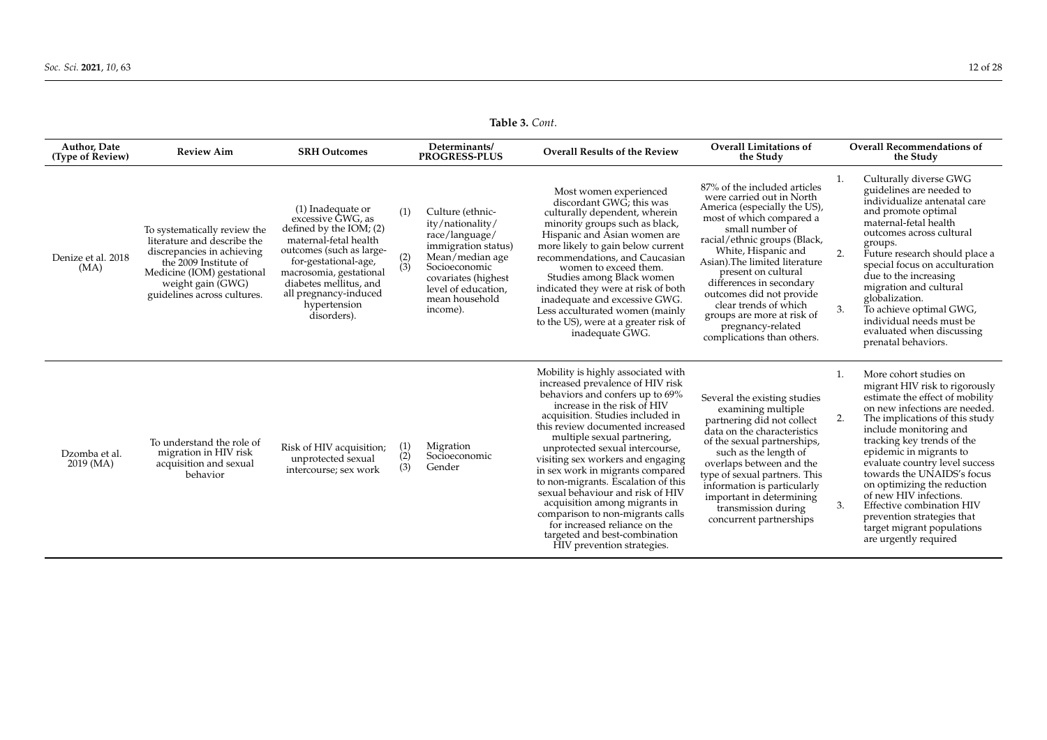|                                         |                                                                                                                                                                                                      |                                                                                                                                                                                                                                                                |                              | rapre $\sigma$ . Com.                                                                                                                                                                         |                                                                                                                                                                                                                                                                                                                                                                                                                                                                                                                                                                                                             |                                                                                                                                                                                                                                                                                                                                                                                                                            |                |                                                                                                                                                                                                                                                                                                                                                                                                                                                                                              |
|-----------------------------------------|------------------------------------------------------------------------------------------------------------------------------------------------------------------------------------------------------|----------------------------------------------------------------------------------------------------------------------------------------------------------------------------------------------------------------------------------------------------------------|------------------------------|-----------------------------------------------------------------------------------------------------------------------------------------------------------------------------------------------|-------------------------------------------------------------------------------------------------------------------------------------------------------------------------------------------------------------------------------------------------------------------------------------------------------------------------------------------------------------------------------------------------------------------------------------------------------------------------------------------------------------------------------------------------------------------------------------------------------------|----------------------------------------------------------------------------------------------------------------------------------------------------------------------------------------------------------------------------------------------------------------------------------------------------------------------------------------------------------------------------------------------------------------------------|----------------|----------------------------------------------------------------------------------------------------------------------------------------------------------------------------------------------------------------------------------------------------------------------------------------------------------------------------------------------------------------------------------------------------------------------------------------------------------------------------------------------|
| <b>Author, Date</b><br>(Type of Review) | <b>Review Aim</b>                                                                                                                                                                                    | <b>SRH Outcomes</b>                                                                                                                                                                                                                                            |                              | Determinants/<br><b>PROGRESS-PLUS</b>                                                                                                                                                         | <b>Overall Results of the Review</b>                                                                                                                                                                                                                                                                                                                                                                                                                                                                                                                                                                        | <b>Overall Limitations of</b><br>the Study                                                                                                                                                                                                                                                                                                                                                                                 |                | <b>Overall Recommendations of</b><br>the Study                                                                                                                                                                                                                                                                                                                                                                                                                                               |
| Denize et al. 2018<br>(MA)              | To systematically review the<br>literature and describe the<br>discrepancies in achieving<br>the 2009 Institute of<br>Medicine (IOM) gestational<br>weight gain (GWG)<br>guidelines across cultures. | (1) Inadequate or<br>excessive GWG, as<br>defined by the $IOM$ ; (2)<br>maternal-fetal health<br>outcomes (such as large-<br>for-gestational-age,<br>macrosomia, gestational<br>diabetes mellitus, and<br>all pregnancy-induced<br>hypertension<br>disorders). | (1)<br>$\binom{2}{3}$        | Culture (ethnic-<br>ity/nationality/<br>race/language/<br>immigration status)<br>Mean/median age<br>Socioeconomic<br>covariates (highest<br>level of education,<br>mean household<br>income). | Most women experienced<br>discordant GWG; this was<br>culturally dependent, wherein<br>minority groups such as black,<br>Hispanic and Asian women are<br>more likely to gain below current<br>recommendations, and Caucasian<br>women to exceed them.<br>Studies among Black women<br>indicated they were at risk of both<br>inadequate and excessive GWG.<br>Less acculturated women (mainly<br>to the US), were at a greater risk of<br>inadequate GWG.                                                                                                                                                   | 87% of the included articles<br>were carried out in North<br>America (especially the US),<br>most of which compared a<br>small number of<br>racial/ethnic groups (Black,<br>White, Hispanic and<br>Asian). The limited literature<br>present on cultural<br>differences in secondary<br>outcomes did not provide<br>clear trends of which<br>groups are more at risk of<br>pregnancy-related<br>complications than others. | 1.<br>2.<br>3. | Culturally diverse GWG<br>guidelines are needed to<br>individualize antenatal care<br>and promote optimal<br>maternal-fetal health<br>outcomes across cultural<br>groups.<br>Future research should place a<br>special focus on acculturation<br>due to the increasing<br>migration and cultural<br>globalization.<br>To achieve optimal GWG,<br>individual needs must be<br>evaluated when discussing<br>prenatal behaviors.                                                                |
| Dzomba et al.<br>$2019$ (MA)            | To understand the role of<br>migration in HIV risk<br>acquisition and sexual<br>behavior                                                                                                             | Risk of HIV acquisition;<br>unprotected sexual<br>intercourse; sex work                                                                                                                                                                                        | (1)<br>$\overline{2}$<br>(3) | Migration<br>Socioeconomic<br>Gender                                                                                                                                                          | Mobility is highly associated with<br>increased prevalence of HIV risk<br>behaviors and confers up to 69%<br>increase in the risk of HIV<br>acquisition. Studies included in<br>this review documented increased<br>multiple sexual partnering,<br>unprotected sexual intercourse,<br>visiting sex workers and engaging<br>in sex work in migrants compared<br>to non-migrants. Escalation of this<br>sexual behaviour and risk of HIV<br>acquisition among migrants in<br>comparison to non-migrants calls<br>for increased reliance on the<br>targeted and best-combination<br>HIV prevention strategies. | Several the existing studies<br>examining multiple<br>partnering did not collect<br>data on the characteristics<br>of the sexual partnerships,<br>such as the length of<br>overlaps between and the<br>type of sexual partners. This<br>information is particularly<br>important in determining<br>transmission during<br>concurrent partnerships                                                                          | 1.<br>2.<br>3. | More cohort studies on<br>migrant HIV risk to rigorously<br>estimate the effect of mobility<br>on new infections are needed.<br>The implications of this study<br>include monitoring and<br>tracking key trends of the<br>epidemic in migrants to<br>evaluate country level success<br>towards the UNAIDS's focus<br>on optimizing the reduction<br>of new HIV infections.<br>Effective combination HIV<br>prevention strategies that<br>target migrant populations<br>are urgently required |

**Table 3.** *Cont*.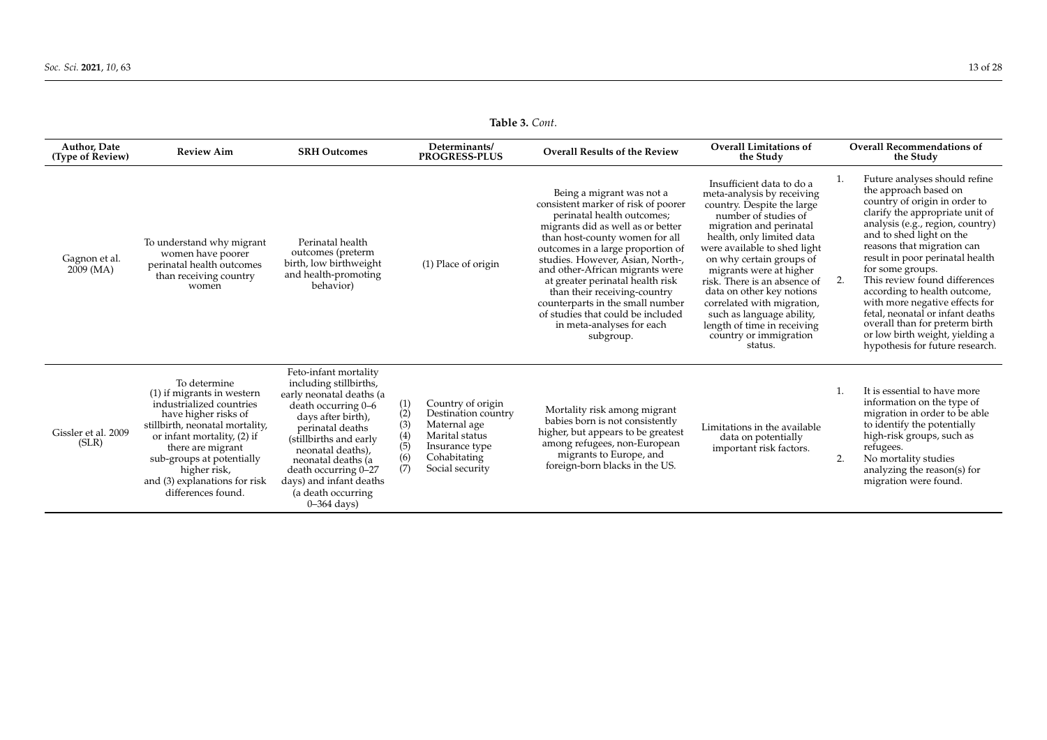| <b>Author, Date</b><br>(Type of Review) | <b>Review Aim</b>                                                                                                                                                                                                                                                                           | <b>SRH Outcomes</b>                                                                                                                                                                                                                                                                                         |                                                       | Determinants/<br><b>PROGRESS-PLUS</b>                                                                                           | <b>Overall Results of the Review</b>                                                                                                                                                                                                                                                                                                                                                                                                                                     | <b>Overall Limitations of</b><br>the Study                                                                                                                                                                                                                                                                                                                                                                                                               |          | <b>Overall Recommendations of</b><br>the Study                                                                                                                                                                                                                                                                                                                                                                                                                                                                                 |
|-----------------------------------------|---------------------------------------------------------------------------------------------------------------------------------------------------------------------------------------------------------------------------------------------------------------------------------------------|-------------------------------------------------------------------------------------------------------------------------------------------------------------------------------------------------------------------------------------------------------------------------------------------------------------|-------------------------------------------------------|---------------------------------------------------------------------------------------------------------------------------------|--------------------------------------------------------------------------------------------------------------------------------------------------------------------------------------------------------------------------------------------------------------------------------------------------------------------------------------------------------------------------------------------------------------------------------------------------------------------------|----------------------------------------------------------------------------------------------------------------------------------------------------------------------------------------------------------------------------------------------------------------------------------------------------------------------------------------------------------------------------------------------------------------------------------------------------------|----------|--------------------------------------------------------------------------------------------------------------------------------------------------------------------------------------------------------------------------------------------------------------------------------------------------------------------------------------------------------------------------------------------------------------------------------------------------------------------------------------------------------------------------------|
| Gagnon et al.<br>2009 (MA)              | To understand why migrant<br>women have poorer<br>perinatal health outcomes<br>than receiving country<br>women                                                                                                                                                                              | Perinatal health<br>outcomes (preterm<br>birth, low birthweight<br>and health-promoting<br>behavior)                                                                                                                                                                                                        |                                                       | (1) Place of origin                                                                                                             | Being a migrant was not a<br>consistent marker of risk of poorer<br>perinatal health outcomes;<br>migrants did as well as or better<br>than host-county women for all<br>outcomes in a large proportion of<br>studies. However, Asian, North-,<br>and other-African migrants were<br>at greater perinatal health risk<br>than their receiving-country<br>counterparts in the small number<br>of studies that could be included<br>in meta-analyses for each<br>subgroup. | Insufficient data to do a<br>meta-analysis by receiving<br>country. Despite the large<br>number of studies of<br>migration and perinatal<br>health, only limited data<br>were available to shed light<br>on why certain groups of<br>migrants were at higher<br>risk. There is an absence of<br>data on other key notions<br>correlated with migration,<br>such as language ability,<br>length of time in receiving<br>country or immigration<br>status. | 1.<br>2. | Future analyses should refine<br>the approach based on<br>country of origin in order to<br>clarify the appropriate unit of<br>analysis (e.g., region, country)<br>and to shed light on the<br>reasons that migration can<br>result in poor perinatal health<br>for some groups.<br>This review found differences<br>according to health outcome,<br>with more negative effects for<br>fetal, neonatal or infant deaths<br>overall than for preterm birth<br>or low birth weight, yielding a<br>hypothesis for future research. |
| Gissler et al. 2009<br>(SLR)            | To determine<br>$(1)$ if migrants in western<br>industrialized countries<br>have higher risks of<br>stillbirth, neonatal mortality,<br>or infant mortality, (2) if<br>there are migrant<br>sub-groups at potentially<br>higher risk,<br>and (3) explanations for risk<br>differences found. | Feto-infant mortality<br>including stillbirths,<br>early neonatal deaths (a<br>death occurring 0-6<br>days after birth),<br>perinatal deaths<br>(stillbirths and early<br>neonatal deaths),<br>neonatal deaths (a<br>death occurring 0-27<br>days) and infant deaths<br>(a death occurring<br>$0-364$ days) | $\binom{1}{2}$<br>(3)<br>$\binom{4}{5}$<br>(6)<br>(7) | Country of origin<br>Destination country<br>Maternal age<br>Marital status<br>Insurance type<br>Cohabitating<br>Social security | Mortality risk among migrant<br>babies born is not consistently<br>higher, but appears to be greatest<br>among refugees, non-European<br>migrants to Europe, and<br>foreign-born blacks in the US.                                                                                                                                                                                                                                                                       | Limitations in the available<br>data on potentially<br>important risk factors.                                                                                                                                                                                                                                                                                                                                                                           | 2.       | It is essential to have more<br>information on the type of<br>migration in order to be able<br>to identify the potentially<br>high-risk groups, such as<br>refugees.<br>No mortality studies<br>analyzing the reason(s) for<br>migration were found.                                                                                                                                                                                                                                                                           |

**Table 3.** *Cont*.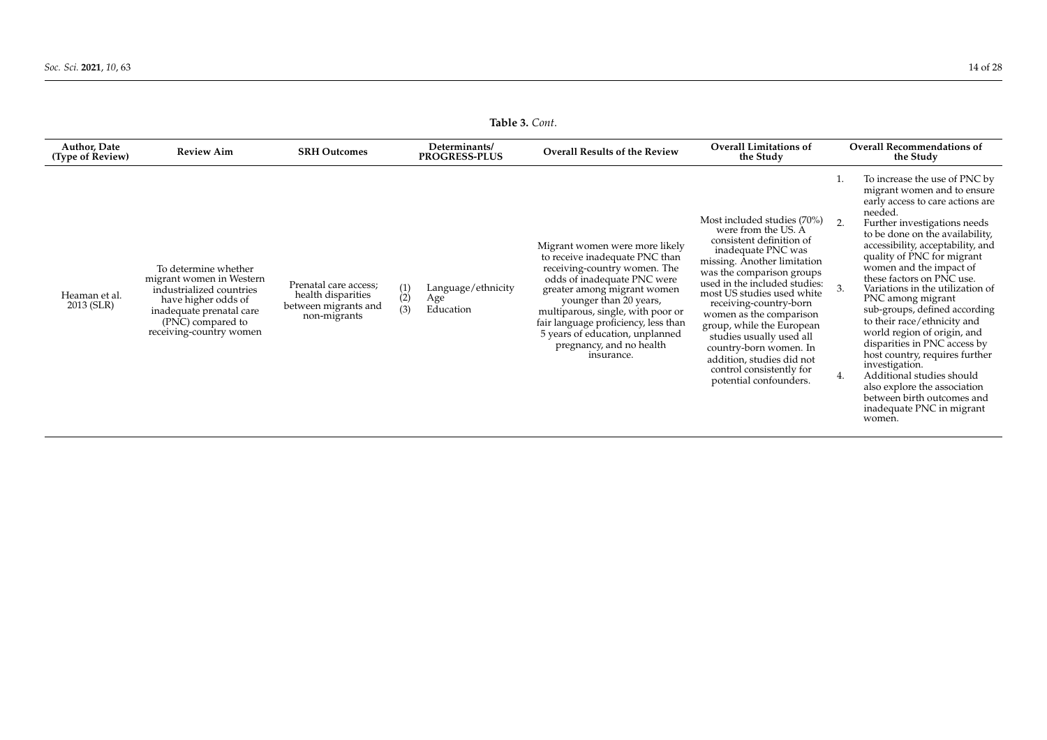|                                         | <b>Table 5.</b> Cont.                                                                                                                                                           |                                                                                     |                       |                                                                               |                                                                                                                                                                                                                                                                                                                                                    |                                                                                                                                                                                                                                                                                                                                                                                                                                                            |                                                |                                                                                                                                                                                                                                                                                                                                                                                                                                                                                                                                                                                                                                                                                         |  |  |  |  |
|-----------------------------------------|---------------------------------------------------------------------------------------------------------------------------------------------------------------------------------|-------------------------------------------------------------------------------------|-----------------------|-------------------------------------------------------------------------------|----------------------------------------------------------------------------------------------------------------------------------------------------------------------------------------------------------------------------------------------------------------------------------------------------------------------------------------------------|------------------------------------------------------------------------------------------------------------------------------------------------------------------------------------------------------------------------------------------------------------------------------------------------------------------------------------------------------------------------------------------------------------------------------------------------------------|------------------------------------------------|-----------------------------------------------------------------------------------------------------------------------------------------------------------------------------------------------------------------------------------------------------------------------------------------------------------------------------------------------------------------------------------------------------------------------------------------------------------------------------------------------------------------------------------------------------------------------------------------------------------------------------------------------------------------------------------------|--|--|--|--|
| <b>Author, Date</b><br>(Type of Review) | <b>Review Aim</b>                                                                                                                                                               | <b>SRH Outcomes</b>                                                                 |                       | Determinants/<br><b>Overall Results of the Review</b><br><b>PROGRESS-PLUS</b> |                                                                                                                                                                                                                                                                                                                                                    | <b>Overall Limitations of</b><br>the Study                                                                                                                                                                                                                                                                                                                                                                                                                 | <b>Overall Recommendations of</b><br>the Study |                                                                                                                                                                                                                                                                                                                                                                                                                                                                                                                                                                                                                                                                                         |  |  |  |  |
| Heaman et al.<br>2013 (SLR)             | To determine whether<br>migrant women in Western<br>industrialized countries<br>have higher odds of<br>inadequate prenatal care<br>(PNC) compared to<br>receiving-country women | Prenatal care access;<br>health disparities<br>between migrants and<br>non-migrants | $\binom{1}{2}$<br>(3) | Language/ethnicity<br>Age<br>Education                                        | Migrant women were more likely<br>to receive inadequate PNC than<br>receiving-country women. The<br>odds of inadequate PNC were<br>greater among migrant women<br>younger than 20 years,<br>multiparous, single, with poor or<br>fair language proficiency, less than<br>5 years of education, unplanned<br>pregnancy, and no health<br>insurance. | Most included studies (70%)<br>were from the US. A<br>consistent definition of<br>inadequate PNC was<br>missing. Another limitation<br>was the comparison groups<br>used in the included studies:<br>most US studies used white<br>receiving-country-born<br>women as the comparison<br>group, while the European<br>studies usually used all<br>country-born women. In<br>addition, studies did not<br>control consistently for<br>potential confounders. | 2.<br>3.<br>4.                                 | To increase the use of PNC by<br>migrant women and to ensure<br>early access to care actions are<br>needed.<br>Further investigations needs<br>to be done on the availability,<br>accessibility, acceptability, and<br>quality of PNC for migrant<br>women and the impact of<br>these factors on PNC use.<br>Variations in the utilization of<br>PNC among migrant<br>sub-groups, defined according<br>to their race/ethnicity and<br>world region of origin, and<br>disparities in PNC access by<br>host country, requires further<br>investigation.<br>Additional studies should<br>also explore the association<br>between birth outcomes and<br>inadequate PNC in migrant<br>women. |  |  |  |  |

**Table 3.** *Cont*.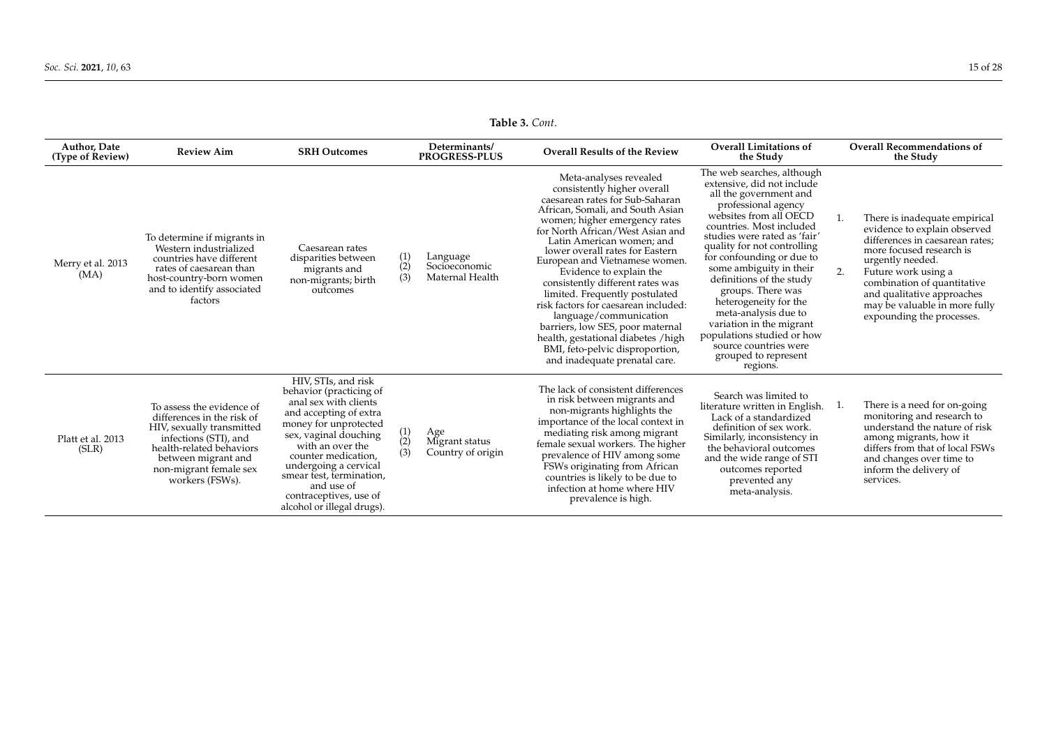**Table 3.** *Cont*.

| <b>Author, Date</b><br>(Type of Review) | <b>Review Aim</b>                                                                                                                                                                                             | <b>SRH Outcomes</b>                                                                                                                                                                                                                                                                                                       |                       | Determinants/<br><b>PROGRESS-PLUS</b>        | <b>Overall Results of the Review</b>                                                                                                                                                                                                                                                                                                                                                                                                                                                                                                                                                                                 | <b>Overall Limitations of</b><br>the Study                                                                                                                                                                                                                                                                                                                                                                                                                                                                      |          | <b>Overall Recommendations of</b><br>the Study                                                                                                                                                                                                                                                     |
|-----------------------------------------|---------------------------------------------------------------------------------------------------------------------------------------------------------------------------------------------------------------|---------------------------------------------------------------------------------------------------------------------------------------------------------------------------------------------------------------------------------------------------------------------------------------------------------------------------|-----------------------|----------------------------------------------|----------------------------------------------------------------------------------------------------------------------------------------------------------------------------------------------------------------------------------------------------------------------------------------------------------------------------------------------------------------------------------------------------------------------------------------------------------------------------------------------------------------------------------------------------------------------------------------------------------------------|-----------------------------------------------------------------------------------------------------------------------------------------------------------------------------------------------------------------------------------------------------------------------------------------------------------------------------------------------------------------------------------------------------------------------------------------------------------------------------------------------------------------|----------|----------------------------------------------------------------------------------------------------------------------------------------------------------------------------------------------------------------------------------------------------------------------------------------------------|
| Merry et al. 2013<br>(MA)               | To determine if migrants in<br>Western industrialized<br>countries have different<br>rates of caesarean than<br>host-country-born women<br>and to identify associated<br>factors                              | Caesarean rates<br>disparities between<br>migrants and<br>non-migrants; birth<br>outcomes                                                                                                                                                                                                                                 | $\binom{1}{2}$<br>(3) | Language<br>Socioeconomic<br>Maternal Health | Meta-analyses revealed<br>consistently higher overall<br>caesarean rates for Sub-Saharan<br>African, Somali, and South Asian<br>women; higher emergency rates<br>for North African/West Asian and<br>Latin American women: and<br>lower overall rates for Eastern<br>European and Vietnamese women.<br>Evidence to explain the<br>consistently different rates was<br>limited. Frequently postulated<br>risk factors for caesarean included:<br>language/communication<br>barriers, low SES, poor maternal<br>health, gestational diabetes /high<br>BMI, feto-pelvic disproportion,<br>and inadequate prenatal care. | The web searches, although<br>extensive, did not include<br>all the government and<br>professional agency<br>websites from all OECD<br>countries. Most included<br>studies were rated as 'fair'<br>quality for not controlling<br>for confounding or due to<br>some ambiguity in their<br>definitions of the study<br>groups. There was<br>heterogeneity for the<br>meta-analysis due to<br>variation in the migrant<br>populations studied or how<br>source countries were<br>grouped to represent<br>regions. | 1.<br>2. | There is inadequate empirical<br>evidence to explain observed<br>differences in caesarean rates:<br>more focused research is<br>urgently needed.<br>Future work using a<br>combination of quantitative<br>and qualitative approaches<br>may be valuable in more fully<br>expounding the processes. |
| Platt et al. 2013<br>(SLR)              | To assess the evidence of<br>differences in the risk of<br>HIV, sexually transmitted<br>infections (STI), and<br>health-related behaviors<br>between migrant and<br>non-migrant female sex<br>workers (FSWs). | HIV, STIs, and risk<br>behavior (practicing of<br>anal sex with clients<br>and accepting of extra<br>money for unprotected<br>sex, vaginal douching<br>with an over the<br>counter medication,<br>undergoing a cervical<br>smear test, termination,<br>and use of<br>contraceptives, use of<br>alcohol or illegal drugs). | (1)<br>(2)<br>(3)     | Age<br>Migrant status<br>Country of origin   | The lack of consistent differences<br>in risk between migrants and<br>non-migrants highlights the<br>importance of the local context in<br>mediating risk among migrant<br>female sexual workers. The higher<br>prevalence of HIV among some<br>FSWs originating from African<br>countries is likely to be due to<br>infection at home where HIV<br>prevalence is high.                                                                                                                                                                                                                                              | Search was limited to<br>literature written in English.<br>Lack of a standardized<br>definition of sex work.<br>Similarly, inconsistency in<br>the behavioral outcomes<br>and the wide range of STI<br>outcomes reported<br>prevented any<br>meta-analysis.                                                                                                                                                                                                                                                     | 1.       | There is a need for on-going<br>monitoring and research to<br>understand the nature of risk<br>among migrants, how it<br>differs from that of local FSWs<br>and changes over time to<br>inform the delivery of<br>services.                                                                        |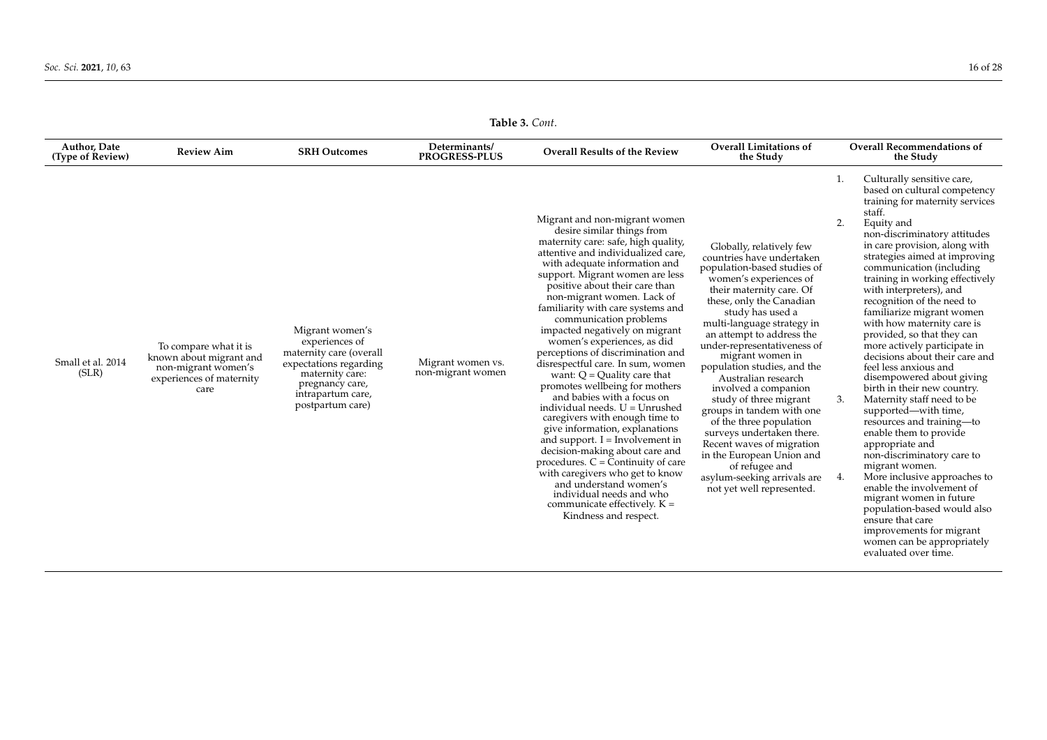| Table 3. Cont.                   |                                                                                                             |                                                                                                                                                                       |                                        |                                                                                                                                                                                                                                                                                                                                                                                                                                                                                                                                                                                                                                                                                                                                                                                                                                                                                                                                                                              |                                                                                                                                                                                                                                                                                                                                                                                                                                                                                                                                                                                                                                               |                                                                                                                                                                                                                                                                                                                                                                                                                                                                                                                                                                                                                                                                                                                                                                                                                                                                                                                                                                                                                                      |  |  |  |  |  |
|----------------------------------|-------------------------------------------------------------------------------------------------------------|-----------------------------------------------------------------------------------------------------------------------------------------------------------------------|----------------------------------------|------------------------------------------------------------------------------------------------------------------------------------------------------------------------------------------------------------------------------------------------------------------------------------------------------------------------------------------------------------------------------------------------------------------------------------------------------------------------------------------------------------------------------------------------------------------------------------------------------------------------------------------------------------------------------------------------------------------------------------------------------------------------------------------------------------------------------------------------------------------------------------------------------------------------------------------------------------------------------|-----------------------------------------------------------------------------------------------------------------------------------------------------------------------------------------------------------------------------------------------------------------------------------------------------------------------------------------------------------------------------------------------------------------------------------------------------------------------------------------------------------------------------------------------------------------------------------------------------------------------------------------------|--------------------------------------------------------------------------------------------------------------------------------------------------------------------------------------------------------------------------------------------------------------------------------------------------------------------------------------------------------------------------------------------------------------------------------------------------------------------------------------------------------------------------------------------------------------------------------------------------------------------------------------------------------------------------------------------------------------------------------------------------------------------------------------------------------------------------------------------------------------------------------------------------------------------------------------------------------------------------------------------------------------------------------------|--|--|--|--|--|
| Author, Date<br>(Type of Review) | <b>Review Aim</b>                                                                                           | <b>SRH Outcomes</b>                                                                                                                                                   | Determinants/<br><b>PROGRESS-PLUS</b>  | <b>Overall Results of the Review</b>                                                                                                                                                                                                                                                                                                                                                                                                                                                                                                                                                                                                                                                                                                                                                                                                                                                                                                                                         | <b>Overall Limitations of</b><br>the Study                                                                                                                                                                                                                                                                                                                                                                                                                                                                                                                                                                                                    | <b>Overall Recommendations of</b><br>the Study                                                                                                                                                                                                                                                                                                                                                                                                                                                                                                                                                                                                                                                                                                                                                                                                                                                                                                                                                                                       |  |  |  |  |  |
| Small et al. 2014<br>(SLR)       | To compare what it is<br>known about migrant and<br>non-migrant women's<br>experiences of maternity<br>care | Migrant women's<br>experiences of<br>maternity care (overall<br>expectations regarding<br>maternity care:<br>pregnancy care,<br>intrapartum care,<br>postpartum care) | Migrant women vs.<br>non-migrant women | Migrant and non-migrant women<br>desire similar things from<br>maternity care: safe, high quality,<br>attentive and individualized care,<br>with adequate information and<br>support. Migrant women are less<br>positive about their care than<br>non-migrant women. Lack of<br>familiarity with care systems and<br>communication problems<br>impacted negatively on migrant<br>women's experiences, as did<br>perceptions of discrimination and<br>disrespectful care. In sum, women<br>want: $Q =$ Quality care that<br>promotes wellbeing for mothers<br>and babies with a focus on<br>individual needs. U = Unrushed<br>caregivers with enough time to<br>give information, explanations<br>and support. $I = Involvement in$<br>decision-making about care and<br>procedures. $C = \overline{C}$ ontinuity of care<br>with caregivers who get to know<br>and understand women's<br>individual needs and who<br>communicate effectively. $K =$<br>Kindness and respect. | Globally, relatively few<br>countries have undertaken<br>population-based studies of<br>women's experiences of<br>their maternity care. Of<br>these, only the Canadian<br>study has used a<br>multi-language strategy in<br>an attempt to address the<br>under-representativeness of<br>migrant women in<br>population studies, and the<br>Australian research<br>involved a companion<br>study of three migrant<br>groups in tandem with one<br>of the three population<br>surveys undertaken there.<br>Recent waves of migration<br>in the European Union and<br>of refugee and<br>asylum-seeking arrivals are<br>not yet well represented. | Culturally sensitive care,<br>1.<br>based on cultural competency<br>training for maternity services<br>staff.<br>2.<br>Equity and<br>non-discriminatory attitudes<br>in care provision, along with<br>strategies aimed at improving<br>communication (including<br>training in working effectively<br>with interpreters), and<br>recognition of the need to<br>familiarize migrant women<br>with how maternity care is<br>provided, so that they can<br>more actively participate in<br>decisions about their care and<br>feel less anxious and<br>disempowered about giving<br>birth in their new country.<br>Maternity staff need to be<br>3.<br>supported—with time,<br>resources and training-to<br>enable them to provide<br>appropriate and<br>non-discriminatory care to<br>migrant women.<br>More inclusive approaches to<br>4.<br>enable the involvement of<br>migrant women in future<br>population-based would also<br>ensure that care<br>improvements for migrant<br>women can be appropriately<br>evaluated over time. |  |  |  |  |  |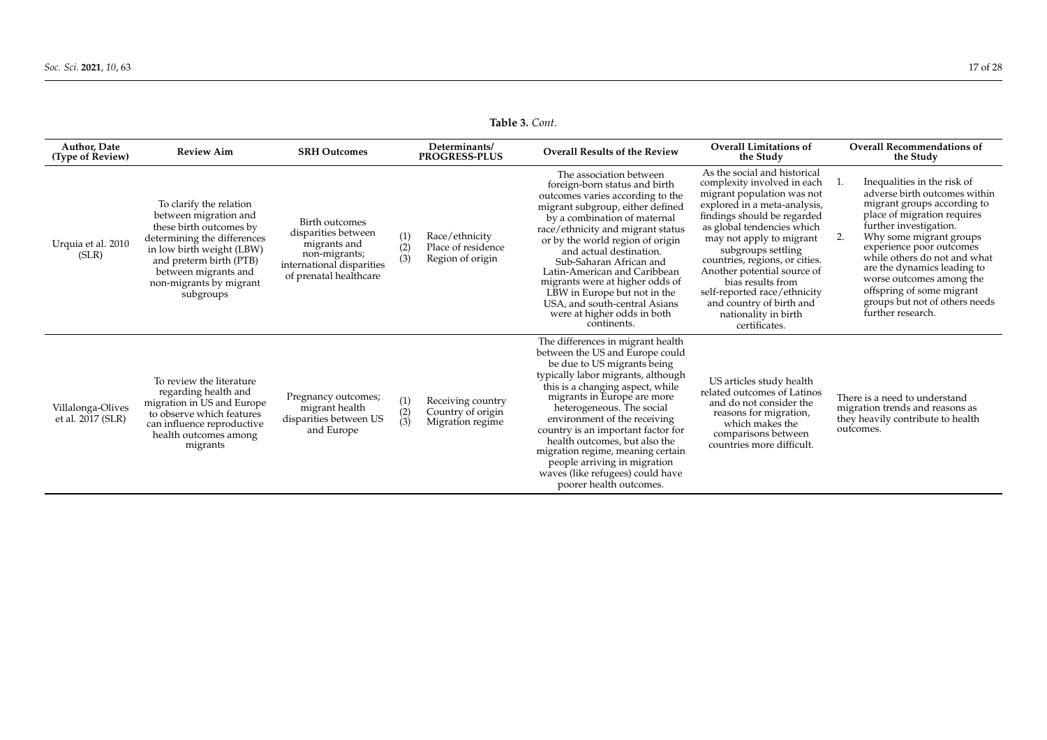**Table 3.** *Cont*.

<span id="page-16-0"></span>

| <b>Author, Date</b><br>(Type of Review) | <b>Review Aim</b>                                                                                                                                                                                                                  | <b>SRH Outcomes</b>                                                                                                           |                       | Determinants/<br><b>PROGRESS-PLUS</b>                      | <b>Overall Results of the Review</b>                                                                                                                                                                                                                                                                                                                                                                                                                                                 | <b>Overall Limitations of</b><br>the Study                                                                                                                                                                                                                                                                                                                                                                                          |          | <b>Overall Recommendations of</b><br>the Study                                                                                                                                                                                                                                                                                                                                             |
|-----------------------------------------|------------------------------------------------------------------------------------------------------------------------------------------------------------------------------------------------------------------------------------|-------------------------------------------------------------------------------------------------------------------------------|-----------------------|------------------------------------------------------------|--------------------------------------------------------------------------------------------------------------------------------------------------------------------------------------------------------------------------------------------------------------------------------------------------------------------------------------------------------------------------------------------------------------------------------------------------------------------------------------|-------------------------------------------------------------------------------------------------------------------------------------------------------------------------------------------------------------------------------------------------------------------------------------------------------------------------------------------------------------------------------------------------------------------------------------|----------|--------------------------------------------------------------------------------------------------------------------------------------------------------------------------------------------------------------------------------------------------------------------------------------------------------------------------------------------------------------------------------------------|
| Urquia et al. 2010<br>(SLR)             | To clarify the relation<br>between migration and<br>these birth outcomes by<br>determining the differences<br>in low birth weight (LBW)<br>and preterm birth (PTB)<br>between migrants and<br>non-migrants by migrant<br>subgroups | Birth outcomes<br>disparities between<br>migrants and<br>non-migrants;<br>international disparities<br>of prenatal healthcare | (1)<br>(2)<br>(3)     | Race/ethnicity<br>Place of residence<br>Region of origin   | The association between<br>foreign-born status and birth<br>outcomes varies according to the<br>migrant subgroup, either defined<br>by a combination of maternal<br>race/ethnicity and migrant status<br>or by the world region of origin<br>and actual destination.<br>Sub-Saharan African and<br>Latin-American and Caribbean<br>migrants were at higher odds of<br>LBW in Europe but not in the<br>USA, and south-central Asians<br>were at higher odds in both<br>continents.    | As the social and historical<br>complexity involved in each<br>migrant population was not<br>explored in a meta-analysis,<br>findings should be regarded<br>as global tendencies which<br>may not apply to migrant<br>subgroups settling<br>countries, regions, or cities.<br>Another potential source of<br>bias results from<br>self-reported race/ethnicity<br>and country of birth and<br>nationality in birth<br>certificates. | 1.<br>2. | Inequalities in the risk of<br>adverse birth outcomes within<br>migrant groups according to<br>place of migration requires<br>further investigation.<br>Why some migrant groups<br>experience poor outcomes<br>while others do not and what<br>are the dynamics leading to<br>worse outcomes among the<br>offspring of some migrant<br>groups but not of others needs<br>further research. |
| Villalonga-Olives<br>et al. 2017 (SLR)  | To review the literature<br>regarding health and<br>migration in US and Europe<br>to observe which features<br>can influence reproductive<br>health outcomes among<br>migrants                                                     | Pregnancy outcomes;<br>migrant health<br>disparities between US<br>and Europe                                                 | (1)<br>$\binom{2}{3}$ | Receiving country<br>Country of origin<br>Migration regime | The differences in migrant health<br>between the US and Europe could<br>be due to US migrants being<br>typically labor migrants, although<br>this is a changing aspect, while<br>migrants in Europe are more<br>heterogeneous. The social<br>environment of the receiving<br>country is an important factor for<br>health outcomes, but also the<br>migration regime, meaning certain<br>people arriving in migration<br>waves (like refugees) could have<br>poorer health outcomes. | US articles study health<br>related outcomes of Latinos<br>and do not consider the<br>reasons for migration,<br>which makes the<br>comparisons between<br>countries more difficult.                                                                                                                                                                                                                                                 |          | There is a need to understand<br>migration trends and reasons as<br>they heavily contribute to health<br>outcomes.                                                                                                                                                                                                                                                                         |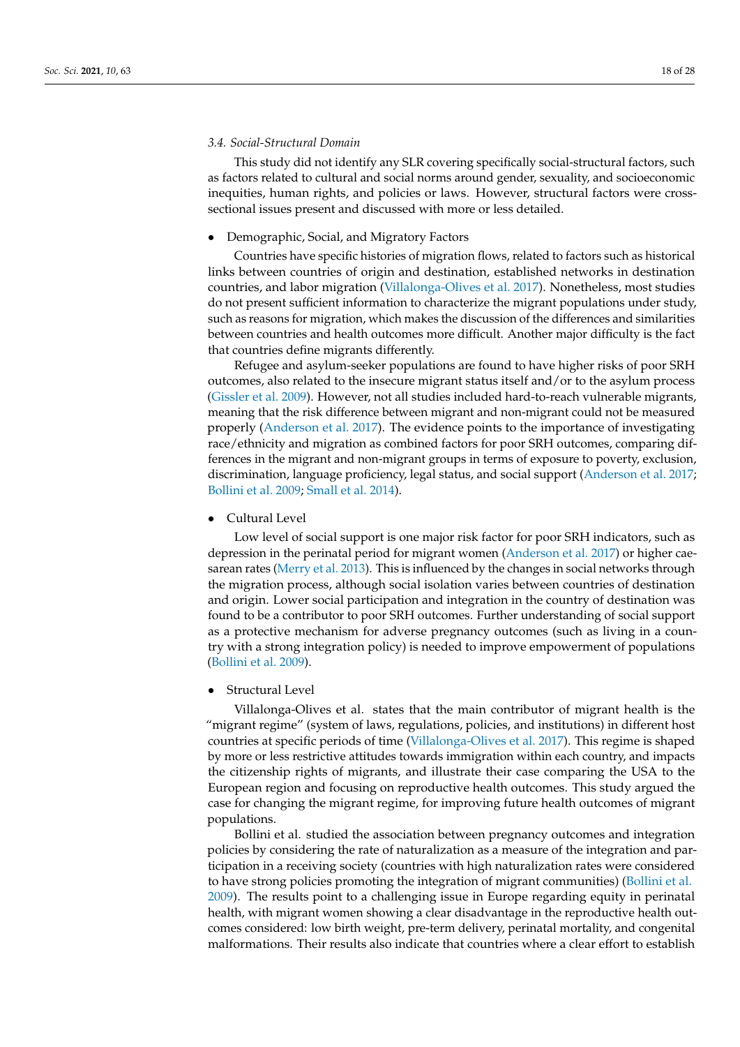## *3.4. Social-Structural Domain*

This study did not identify any SLR covering specifically social-structural factors, such as factors related to cultural and social norms around gender, sexuality, and socioeconomic inequities, human rights, and policies or laws. However, structural factors were crosssectional issues present and discussed with more or less detailed.

# • Demographic, Social, and Migratory Factors

Countries have specific histories of migration flows, related to factors such as historical links between countries of origin and destination, established networks in destination countries, and labor migration [\(Villalonga-Olives et al.](#page-27-14) [2017\)](#page-27-14). Nonetheless, most studies do not present sufficient information to characterize the migrant populations under study, such as reasons for migration, which makes the discussion of the differences and similarities between countries and health outcomes more difficult. Another major difficulty is the fact that countries define migrants differently.

Refugee and asylum-seeker populations are found to have higher risks of poor SRH outcomes, also related to the insecure migrant status itself and/or to the asylum process [\(Gissler et al.](#page-25-8) [2009\)](#page-25-8). However, not all studies included hard-to-reach vulnerable migrants, meaning that the risk difference between migrant and non-migrant could not be measured properly [\(Anderson et al.](#page-25-19) [2017\)](#page-25-19). The evidence points to the importance of investigating race/ethnicity and migration as combined factors for poor SRH outcomes, comparing differences in the migrant and non-migrant groups in terms of exposure to poverty, exclusion, discrimination, language proficiency, legal status, and social support [\(Anderson et al.](#page-25-19) [2017;](#page-25-19) [Bollini et al.](#page-25-6) [2009;](#page-25-6) [Small et al.](#page-27-19) [2014\)](#page-27-19).

• Cultural Level

Low level of social support is one major risk factor for poor SRH indicators, such as depression in the perinatal period for migrant women [\(Anderson et al.](#page-25-19) [2017\)](#page-25-19) or higher caesarean rates [\(Merry et al.](#page-26-12) [2013\)](#page-26-12). This is influenced by the changes in social networks through the migration process, although social isolation varies between countries of destination and origin. Lower social participation and integration in the country of destination was found to be a contributor to poor SRH outcomes. Further understanding of social support as a protective mechanism for adverse pregnancy outcomes (such as living in a country with a strong integration policy) is needed to improve empowerment of populations [\(Bollini et al.](#page-25-6) [2009\)](#page-25-6).

• Structural Level

Villalonga-Olives et al. states that the main contributor of migrant health is the "migrant regime" (system of laws, regulations, policies, and institutions) in different host countries at specific periods of time [\(Villalonga-Olives et al.](#page-27-14) [2017\)](#page-27-14). This regime is shaped by more or less restrictive attitudes towards immigration within each country, and impacts the citizenship rights of migrants, and illustrate their case comparing the USA to the European region and focusing on reproductive health outcomes. This study argued the case for changing the migrant regime, for improving future health outcomes of migrant populations.

Bollini et al. studied the association between pregnancy outcomes and integration policies by considering the rate of naturalization as a measure of the integration and participation in a receiving society (countries with high naturalization rates were considered to have strong policies promoting the integration of migrant communities) [\(Bollini et al.](#page-25-6) [2009\)](#page-25-6). The results point to a challenging issue in Europe regarding equity in perinatal health, with migrant women showing a clear disadvantage in the reproductive health outcomes considered: low birth weight, pre-term delivery, perinatal mortality, and congenital malformations. Their results also indicate that countries where a clear effort to establish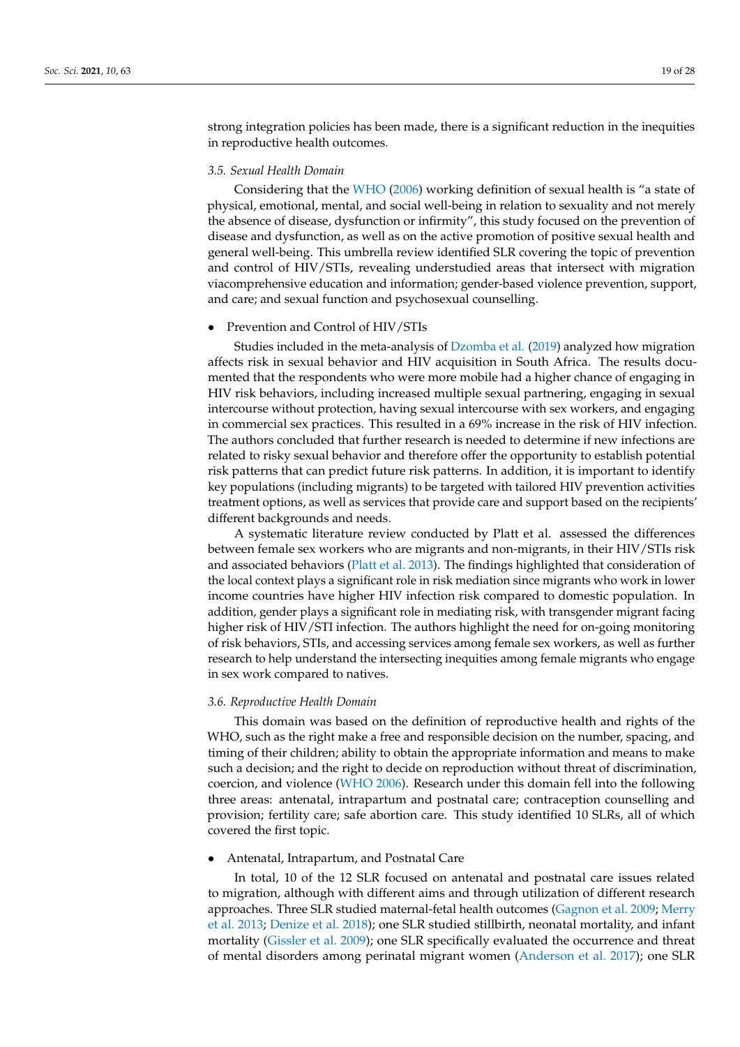strong integration policies has been made, there is a significant reduction in the inequities in reproductive health outcomes.

# *3.5. Sexual Health Domain*

Considering that the [WHO](#page-27-20) [\(2006\)](#page-27-20) working definition of sexual health is "a state of physical, emotional, mental, and social well-being in relation to sexuality and not merely the absence of disease, dysfunction or infirmity", this study focused on the prevention of disease and dysfunction, as well as on the active promotion of positive sexual health and general well-being. This umbrella review identified SLR covering the topic of prevention and control of HIV/STIs, revealing understudied areas that intersect with migration viacomprehensive education and information; gender-based violence prevention, support, and care; and sexual function and psychosexual counselling.

### • Prevention and Control of HIV/STIs

Studies included in the meta-analysis of [Dzomba et al.](#page-25-9) [\(2019\)](#page-25-9) analyzed how migration affects risk in sexual behavior and HIV acquisition in South Africa. The results documented that the respondents who were more mobile had a higher chance of engaging in HIV risk behaviors, including increased multiple sexual partnering, engaging in sexual intercourse without protection, having sexual intercourse with sex workers, and engaging in commercial sex practices. This resulted in a 69% increase in the risk of HIV infection. The authors concluded that further research is needed to determine if new infections are related to risky sexual behavior and therefore offer the opportunity to establish potential risk patterns that can predict future risk patterns. In addition, it is important to identify key populations (including migrants) to be targeted with tailored HIV prevention activities treatment options, as well as services that provide care and support based on the recipients' different backgrounds and needs.

A systematic literature review conducted by Platt et al. assessed the differences between female sex workers who are migrants and non-migrants, in their HIV/STIs risk and associated behaviors [\(Platt et al.](#page-27-18) [2013\)](#page-27-18). The findings highlighted that consideration of the local context plays a significant role in risk mediation since migrants who work in lower income countries have higher HIV infection risk compared to domestic population. In addition, gender plays a significant role in mediating risk, with transgender migrant facing higher risk of HIV/STI infection. The authors highlight the need for on-going monitoring of risk behaviors, STIs, and accessing services among female sex workers, as well as further research to help understand the intersecting inequities among female migrants who engage in sex work compared to natives.

# *3.6. Reproductive Health Domain*

This domain was based on the definition of reproductive health and rights of the WHO, such as the right make a free and responsible decision on the number, spacing, and timing of their children; ability to obtain the appropriate information and means to make such a decision; and the right to decide on reproduction without threat of discrimination, coercion, and violence [\(WHO](#page-27-20) [2006\)](#page-27-20). Research under this domain fell into the following three areas: antenatal, intrapartum and postnatal care; contraception counselling and provision; fertility care; safe abortion care. This study identified 10 SLRs, all of which covered the first topic.

• Antenatal, Intrapartum, and Postnatal Care

In total, 10 of the 12 SLR focused on antenatal and postnatal care issues related to migration, although with different aims and through utilization of different research approaches. Three SLR studied maternal-fetal health outcomes [\(Gagnon et al.](#page-25-7) [2009;](#page-25-7) [Merry](#page-26-12) [et al.](#page-26-12) [2013;](#page-26-12) [Denize et al.](#page-25-20) [2018\)](#page-25-20); one SLR studied stillbirth, neonatal mortality, and infant mortality [\(Gissler et al.](#page-25-8) [2009\)](#page-25-8); one SLR specifically evaluated the occurrence and threat of mental disorders among perinatal migrant women [\(Anderson et al.](#page-25-19) [2017\)](#page-25-19); one SLR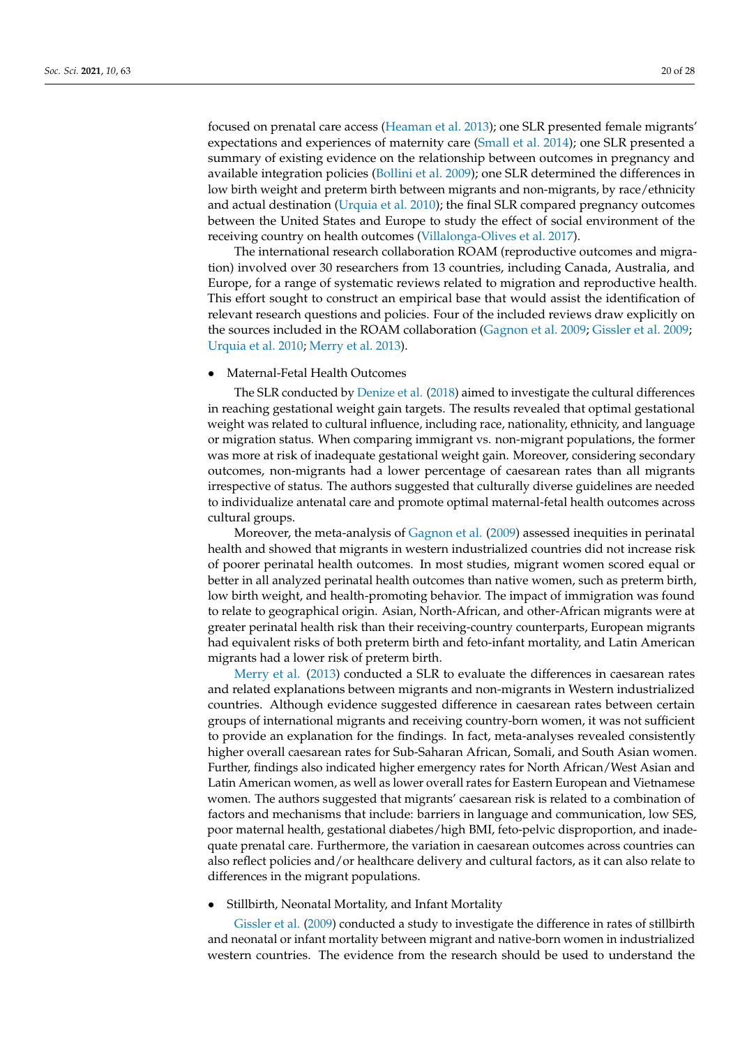focused on prenatal care access [\(Heaman et al.](#page-26-11) [2013\)](#page-26-11); one SLR presented female migrants' expectations and experiences of maternity care [\(Small et al.](#page-27-19) [2014\)](#page-27-19); one SLR presented a summary of existing evidence on the relationship between outcomes in pregnancy and available integration policies [\(Bollini et al.](#page-25-6) [2009\)](#page-25-6); one SLR determined the differences in low birth weight and preterm birth between migrants and non-migrants, by race/ethnicity and actual destination [\(Urquia et al.](#page-27-12) [2010\)](#page-27-12); the final SLR compared pregnancy outcomes between the United States and Europe to study the effect of social environment of the receiving country on health outcomes [\(Villalonga-Olives et al.](#page-27-14) [2017\)](#page-27-14).

The international research collaboration ROAM (reproductive outcomes and migration) involved over 30 researchers from 13 countries, including Canada, Australia, and Europe, for a range of systematic reviews related to migration and reproductive health. This effort sought to construct an empirical base that would assist the identification of relevant research questions and policies. Four of the included reviews draw explicitly on the sources included in the ROAM collaboration [\(Gagnon et al.](#page-25-7) [2009;](#page-25-7) [Gissler et al.](#page-25-8) [2009;](#page-25-8) [Urquia et al.](#page-27-12) [2010;](#page-27-12) [Merry et al.](#page-26-12) [2013\)](#page-26-12).

• Maternal-Fetal Health Outcomes

The SLR conducted by [Denize et al.](#page-25-20) [\(2018\)](#page-25-20) aimed to investigate the cultural differences in reaching gestational weight gain targets. The results revealed that optimal gestational weight was related to cultural influence, including race, nationality, ethnicity, and language or migration status. When comparing immigrant vs. non-migrant populations, the former was more at risk of inadequate gestational weight gain. Moreover, considering secondary outcomes, non-migrants had a lower percentage of caesarean rates than all migrants irrespective of status. The authors suggested that culturally diverse guidelines are needed to individualize antenatal care and promote optimal maternal-fetal health outcomes across cultural groups.

Moreover, the meta-analysis of [Gagnon et al.](#page-25-7) [\(2009\)](#page-25-7) assessed inequities in perinatal health and showed that migrants in western industrialized countries did not increase risk of poorer perinatal health outcomes. In most studies, migrant women scored equal or better in all analyzed perinatal health outcomes than native women, such as preterm birth, low birth weight, and health-promoting behavior. The impact of immigration was found to relate to geographical origin. Asian, North-African, and other-African migrants were at greater perinatal health risk than their receiving-country counterparts, European migrants had equivalent risks of both preterm birth and feto-infant mortality, and Latin American migrants had a lower risk of preterm birth.

[Merry et al.](#page-26-12) [\(2013\)](#page-26-12) conducted a SLR to evaluate the differences in caesarean rates and related explanations between migrants and non-migrants in Western industrialized countries. Although evidence suggested difference in caesarean rates between certain groups of international migrants and receiving country-born women, it was not sufficient to provide an explanation for the findings. In fact, meta-analyses revealed consistently higher overall caesarean rates for Sub-Saharan African, Somali, and South Asian women. Further, findings also indicated higher emergency rates for North African/West Asian and Latin American women, as well as lower overall rates for Eastern European and Vietnamese women. The authors suggested that migrants' caesarean risk is related to a combination of factors and mechanisms that include: barriers in language and communication, low SES, poor maternal health, gestational diabetes/high BMI, feto-pelvic disproportion, and inadequate prenatal care. Furthermore, the variation in caesarean outcomes across countries can also reflect policies and/or healthcare delivery and cultural factors, as it can also relate to differences in the migrant populations.

• Stillbirth, Neonatal Mortality, and Infant Mortality

[Gissler et al.](#page-25-8) [\(2009\)](#page-25-8) conducted a study to investigate the difference in rates of stillbirth and neonatal or infant mortality between migrant and native-born women in industrialized western countries. The evidence from the research should be used to understand the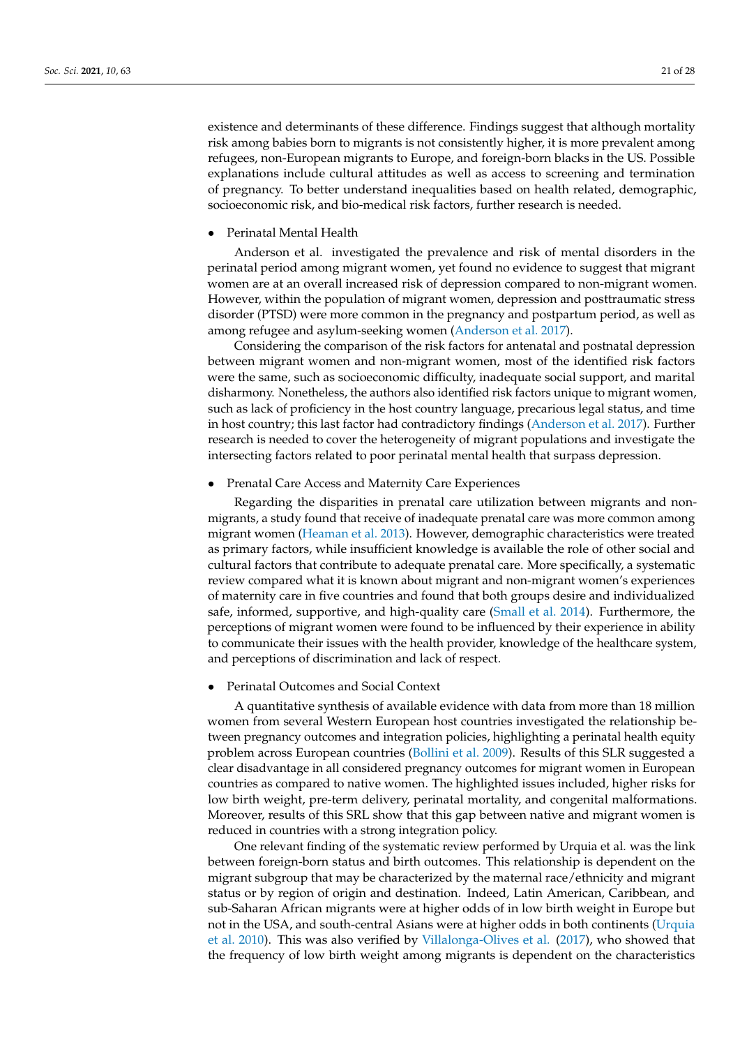existence and determinants of these difference. Findings suggest that although mortality risk among babies born to migrants is not consistently higher, it is more prevalent among refugees, non-European migrants to Europe, and foreign-born blacks in the US. Possible explanations include cultural attitudes as well as access to screening and termination of pregnancy. To better understand inequalities based on health related, demographic, socioeconomic risk, and bio-medical risk factors, further research is needed.

• Perinatal Mental Health

Anderson et al. investigated the prevalence and risk of mental disorders in the perinatal period among migrant women, yet found no evidence to suggest that migrant women are at an overall increased risk of depression compared to non-migrant women. However, within the population of migrant women, depression and posttraumatic stress disorder (PTSD) were more common in the pregnancy and postpartum period, as well as among refugee and asylum-seeking women [\(Anderson et al.](#page-25-19) [2017\)](#page-25-19).

Considering the comparison of the risk factors for antenatal and postnatal depression between migrant women and non-migrant women, most of the identified risk factors were the same, such as socioeconomic difficulty, inadequate social support, and marital disharmony. Nonetheless, the authors also identified risk factors unique to migrant women, such as lack of proficiency in the host country language, precarious legal status, and time in host country; this last factor had contradictory findings [\(Anderson et al.](#page-25-19) [2017\)](#page-25-19). Further research is needed to cover the heterogeneity of migrant populations and investigate the intersecting factors related to poor perinatal mental health that surpass depression.

### • Prenatal Care Access and Maternity Care Experiences

Regarding the disparities in prenatal care utilization between migrants and nonmigrants, a study found that receive of inadequate prenatal care was more common among migrant women [\(Heaman et al.](#page-26-11) [2013\)](#page-26-11). However, demographic characteristics were treated as primary factors, while insufficient knowledge is available the role of other social and cultural factors that contribute to adequate prenatal care. More specifically, a systematic review compared what it is known about migrant and non-migrant women's experiences of maternity care in five countries and found that both groups desire and individualized safe, informed, supportive, and high-quality care [\(Small et al.](#page-27-19) [2014\)](#page-27-19). Furthermore, the perceptions of migrant women were found to be influenced by their experience in ability to communicate their issues with the health provider, knowledge of the healthcare system, and perceptions of discrimination and lack of respect.

• Perinatal Outcomes and Social Context

A quantitative synthesis of available evidence with data from more than 18 million women from several Western European host countries investigated the relationship between pregnancy outcomes and integration policies, highlighting a perinatal health equity problem across European countries [\(Bollini et al.](#page-25-6) [2009\)](#page-25-6). Results of this SLR suggested a clear disadvantage in all considered pregnancy outcomes for migrant women in European countries as compared to native women. The highlighted issues included, higher risks for low birth weight, pre-term delivery, perinatal mortality, and congenital malformations. Moreover, results of this SRL show that this gap between native and migrant women is reduced in countries with a strong integration policy.

One relevant finding of the systematic review performed by Urquia et al. was the link between foreign-born status and birth outcomes. This relationship is dependent on the migrant subgroup that may be characterized by the maternal race/ethnicity and migrant status or by region of origin and destination. Indeed, Latin American, Caribbean, and sub-Saharan African migrants were at higher odds of in low birth weight in Europe but not in the USA, and south-central Asians were at higher odds in both continents [\(Urquia](#page-27-12) [et al.](#page-27-12) [2010\)](#page-27-12). This was also verified by [Villalonga-Olives et al.](#page-27-14) [\(2017\)](#page-27-14), who showed that the frequency of low birth weight among migrants is dependent on the characteristics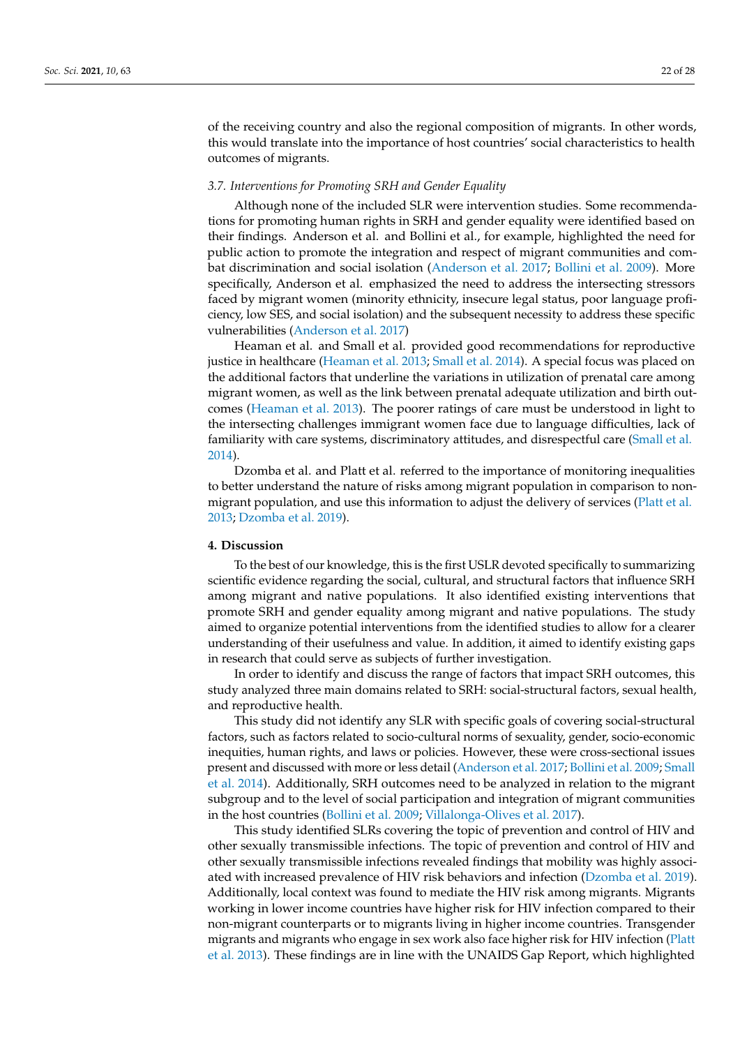of the receiving country and also the regional composition of migrants. In other words, this would translate into the importance of host countries' social characteristics to health outcomes of migrants.

# *3.7. Interventions for Promoting SRH and Gender Equality*

Although none of the included SLR were intervention studies. Some recommendations for promoting human rights in SRH and gender equality were identified based on their findings. Anderson et al. and Bollini et al., for example, highlighted the need for public action to promote the integration and respect of migrant communities and combat discrimination and social isolation [\(Anderson et al.](#page-25-19) [2017;](#page-25-19) [Bollini et al.](#page-25-6) [2009\)](#page-25-6). More specifically, Anderson et al. emphasized the need to address the intersecting stressors faced by migrant women (minority ethnicity, insecure legal status, poor language proficiency, low SES, and social isolation) and the subsequent necessity to address these specific vulnerabilities [\(Anderson et al.](#page-25-19) [2017\)](#page-25-19)

Heaman et al. and Small et al. provided good recommendations for reproductive justice in healthcare [\(Heaman et al.](#page-26-11) [2013;](#page-26-11) [Small et al.](#page-27-19) [2014\)](#page-27-19). A special focus was placed on the additional factors that underline the variations in utilization of prenatal care among migrant women, as well as the link between prenatal adequate utilization and birth outcomes [\(Heaman et al.](#page-26-11) [2013\)](#page-26-11). The poorer ratings of care must be understood in light to the intersecting challenges immigrant women face due to language difficulties, lack of familiarity with care systems, discriminatory attitudes, and disrespectful care [\(Small et al.](#page-27-19) [2014\)](#page-27-19).

Dzomba et al. and Platt et al. referred to the importance of monitoring inequalities to better understand the nature of risks among migrant population in comparison to nonmigrant population, and use this information to adjust the delivery of services [\(Platt et al.](#page-27-18) [2013;](#page-27-18) [Dzomba et al.](#page-25-9) [2019\)](#page-25-9).

### **4. Discussion**

To the best of our knowledge, this is the first USLR devoted specifically to summarizing scientific evidence regarding the social, cultural, and structural factors that influence SRH among migrant and native populations. It also identified existing interventions that promote SRH and gender equality among migrant and native populations. The study aimed to organize potential interventions from the identified studies to allow for a clearer understanding of their usefulness and value. In addition, it aimed to identify existing gaps in research that could serve as subjects of further investigation.

In order to identify and discuss the range of factors that impact SRH outcomes, this study analyzed three main domains related to SRH: social-structural factors, sexual health, and reproductive health.

This study did not identify any SLR with specific goals of covering social-structural factors, such as factors related to socio-cultural norms of sexuality, gender, socio-economic inequities, human rights, and laws or policies. However, these were cross-sectional issues present and discussed with more or less detail [\(Anderson et al.](#page-25-19) [2017;](#page-25-19) [Bollini et al.](#page-25-6) [2009;](#page-25-6) [Small](#page-27-19) [et al.](#page-27-19) [2014\)](#page-27-19). Additionally, SRH outcomes need to be analyzed in relation to the migrant subgroup and to the level of social participation and integration of migrant communities in the host countries [\(Bollini et al.](#page-25-6) [2009;](#page-25-6) [Villalonga-Olives et al.](#page-27-14) [2017\)](#page-27-14).

This study identified SLRs covering the topic of prevention and control of HIV and other sexually transmissible infections. The topic of prevention and control of HIV and other sexually transmissible infections revealed findings that mobility was highly associated with increased prevalence of HIV risk behaviors and infection [\(Dzomba et al.](#page-25-9) [2019\)](#page-25-9). Additionally, local context was found to mediate the HIV risk among migrants. Migrants working in lower income countries have higher risk for HIV infection compared to their non-migrant counterparts or to migrants living in higher income countries. Transgender migrants and migrants who engage in sex work also face higher risk for HIV infection [\(Platt](#page-27-18) [et al.](#page-27-18) [2013\)](#page-27-18). These findings are in line with the UNAIDS Gap Report, which highlighted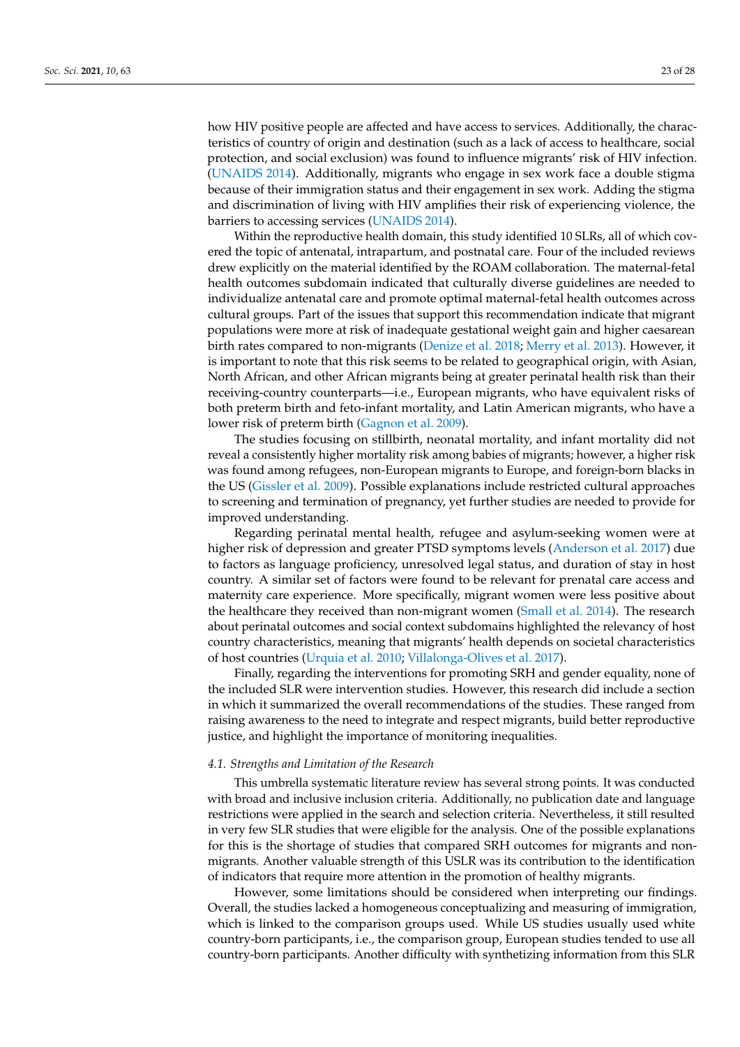how HIV positive people are affected and have access to services. Additionally, the characteristics of country of origin and destination (such as a lack of access to healthcare, social protection, and social exclusion) was found to influence migrants' risk of HIV infection. [\(UNAIDS](#page-27-21) [2014\)](#page-27-21). Additionally, migrants who engage in sex work face a double stigma because of their immigration status and their engagement in sex work. Adding the stigma and discrimination of living with HIV amplifies their risk of experiencing violence, the barriers to accessing services [\(UNAIDS](#page-27-21) [2014\)](#page-27-21).

Within the reproductive health domain, this study identified 10 SLRs, all of which covered the topic of antenatal, intrapartum, and postnatal care. Four of the included reviews drew explicitly on the material identified by the ROAM collaboration. The maternal-fetal health outcomes subdomain indicated that culturally diverse guidelines are needed to individualize antenatal care and promote optimal maternal-fetal health outcomes across cultural groups. Part of the issues that support this recommendation indicate that migrant populations were more at risk of inadequate gestational weight gain and higher caesarean birth rates compared to non-migrants [\(Denize et al.](#page-25-20) [2018;](#page-25-20) [Merry et al.](#page-26-12) [2013\)](#page-26-12). However, it is important to note that this risk seems to be related to geographical origin, with Asian, North African, and other African migrants being at greater perinatal health risk than their receiving-country counterparts—i.e., European migrants, who have equivalent risks of both preterm birth and feto-infant mortality, and Latin American migrants, who have a lower risk of preterm birth [\(Gagnon et al.](#page-25-7) [2009\)](#page-25-7).

The studies focusing on stillbirth, neonatal mortality, and infant mortality did not reveal a consistently higher mortality risk among babies of migrants; however, a higher risk was found among refugees, non-European migrants to Europe, and foreign-born blacks in the US [\(Gissler et al.](#page-25-8) [2009\)](#page-25-8). Possible explanations include restricted cultural approaches to screening and termination of pregnancy, yet further studies are needed to provide for improved understanding.

Regarding perinatal mental health, refugee and asylum-seeking women were at higher risk of depression and greater PTSD symptoms levels [\(Anderson et al.](#page-25-19) [2017\)](#page-25-19) due to factors as language proficiency, unresolved legal status, and duration of stay in host country. A similar set of factors were found to be relevant for prenatal care access and maternity care experience. More specifically, migrant women were less positive about the healthcare they received than non-migrant women [\(Small et al.](#page-27-19) [2014\)](#page-27-19). The research about perinatal outcomes and social context subdomains highlighted the relevancy of host country characteristics, meaning that migrants' health depends on societal characteristics of host countries [\(Urquia et al.](#page-27-12) [2010;](#page-27-12) [Villalonga-Olives et al.](#page-27-14) [2017\)](#page-27-14).

Finally, regarding the interventions for promoting SRH and gender equality, none of the included SLR were intervention studies. However, this research did include a section in which it summarized the overall recommendations of the studies. These ranged from raising awareness to the need to integrate and respect migrants, build better reproductive justice, and highlight the importance of monitoring inequalities.

## *4.1. Strengths and Limitation of the Research*

This umbrella systematic literature review has several strong points. It was conducted with broad and inclusive inclusion criteria. Additionally, no publication date and language restrictions were applied in the search and selection criteria. Nevertheless, it still resulted in very few SLR studies that were eligible for the analysis. One of the possible explanations for this is the shortage of studies that compared SRH outcomes for migrants and nonmigrants. Another valuable strength of this USLR was its contribution to the identification of indicators that require more attention in the promotion of healthy migrants.

However, some limitations should be considered when interpreting our findings. Overall, the studies lacked a homogeneous conceptualizing and measuring of immigration, which is linked to the comparison groups used. While US studies usually used white country-born participants, i.e., the comparison group, European studies tended to use all country-born participants. Another difficulty with synthetizing information from this SLR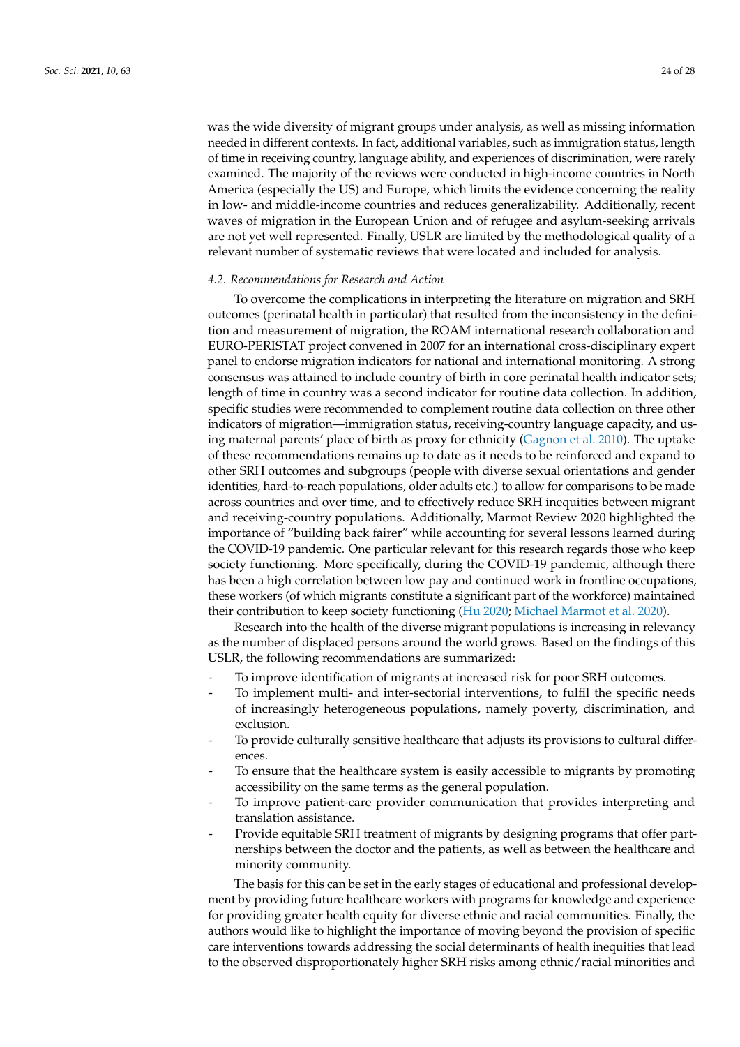was the wide diversity of migrant groups under analysis, as well as missing information needed in different contexts. In fact, additional variables, such as immigration status, length of time in receiving country, language ability, and experiences of discrimination, were rarely examined. The majority of the reviews were conducted in high-income countries in North America (especially the US) and Europe, which limits the evidence concerning the reality in low- and middle-income countries and reduces generalizability. Additionally, recent waves of migration in the European Union and of refugee and asylum-seeking arrivals are not yet well represented. Finally, USLR are limited by the methodological quality of a relevant number of systematic reviews that were located and included for analysis.

## *4.2. Recommendations for Research and Action*

To overcome the complications in interpreting the literature on migration and SRH outcomes (perinatal health in particular) that resulted from the inconsistency in the definition and measurement of migration, the ROAM international research collaboration and EURO-PERISTAT project convened in 2007 for an international cross-disciplinary expert panel to endorse migration indicators for national and international monitoring. A strong consensus was attained to include country of birth in core perinatal health indicator sets; length of time in country was a second indicator for routine data collection. In addition, specific studies were recommended to complement routine data collection on three other indicators of migration—immigration status, receiving-country language capacity, and using maternal parents' place of birth as proxy for ethnicity [\(Gagnon et al.](#page-25-22) [2010\)](#page-25-22). The uptake of these recommendations remains up to date as it needs to be reinforced and expand to other SRH outcomes and subgroups (people with diverse sexual orientations and gender identities, hard-to-reach populations, older adults etc.) to allow for comparisons to be made across countries and over time, and to effectively reduce SRH inequities between migrant and receiving-country populations. Additionally, Marmot Review 2020 highlighted the importance of "building back fairer" while accounting for several lessons learned during the COVID-19 pandemic. One particular relevant for this research regards those who keep society functioning. More specifically, during the COVID-19 pandemic, although there has been a high correlation between low pay and continued work in frontline occupations, these workers (of which migrants constitute a significant part of the workforce) maintained their contribution to keep society functioning [\(Hu](#page-26-22) [2020;](#page-26-22) [Michael Marmot et al.](#page-26-23) [2020\)](#page-26-23).

Research into the health of the diverse migrant populations is increasing in relevancy as the number of displaced persons around the world grows. Based on the findings of this USLR, the following recommendations are summarized:

- To improve identification of migrants at increased risk for poor SRH outcomes.
- To implement multi- and inter-sectorial interventions, to fulfil the specific needs of increasingly heterogeneous populations, namely poverty, discrimination, and exclusion.
- To provide culturally sensitive healthcare that adjusts its provisions to cultural differences.
- To ensure that the healthcare system is easily accessible to migrants by promoting accessibility on the same terms as the general population.
- To improve patient-care provider communication that provides interpreting and translation assistance.
- Provide equitable SRH treatment of migrants by designing programs that offer partnerships between the doctor and the patients, as well as between the healthcare and minority community.

The basis for this can be set in the early stages of educational and professional development by providing future healthcare workers with programs for knowledge and experience for providing greater health equity for diverse ethnic and racial communities. Finally, the authors would like to highlight the importance of moving beyond the provision of specific care interventions towards addressing the social determinants of health inequities that lead to the observed disproportionately higher SRH risks among ethnic/racial minorities and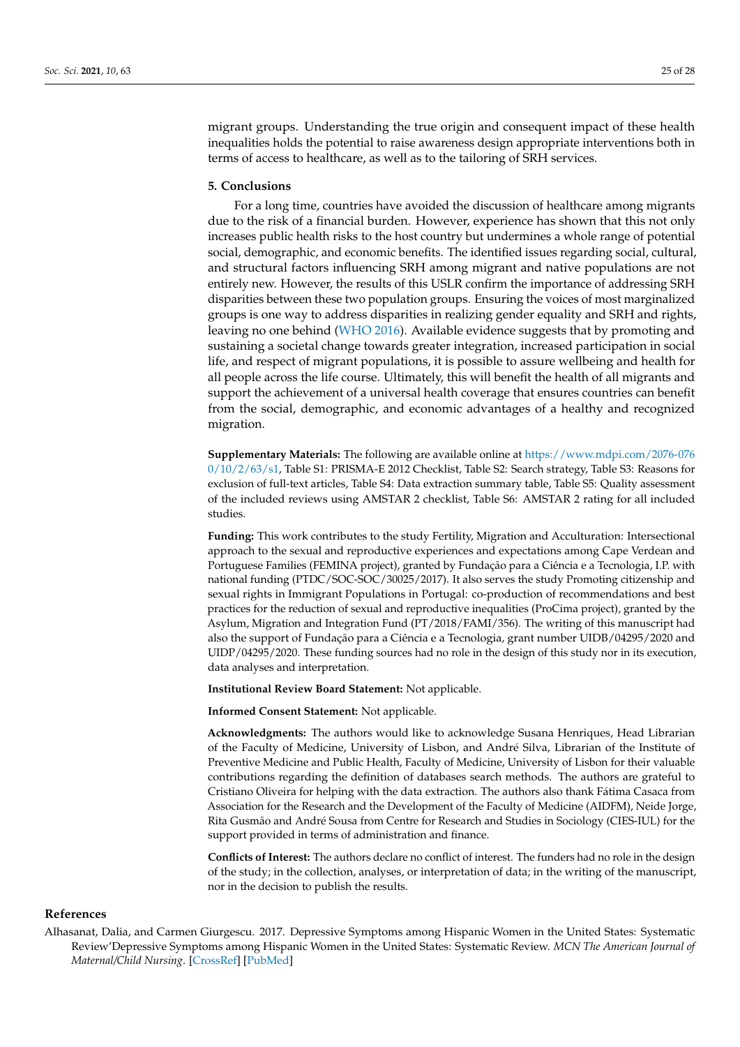migrant groups. Understanding the true origin and consequent impact of these health inequalities holds the potential to raise awareness design appropriate interventions both in terms of access to healthcare, as well as to the tailoring of SRH services.

# **5. Conclusions**

For a long time, countries have avoided the discussion of healthcare among migrants due to the risk of a financial burden. However, experience has shown that this not only increases public health risks to the host country but undermines a whole range of potential social, demographic, and economic benefits. The identified issues regarding social, cultural, and structural factors influencing SRH among migrant and native populations are not entirely new. However, the results of this USLR confirm the importance of addressing SRH disparities between these two population groups. Ensuring the voices of most marginalized groups is one way to address disparities in realizing gender equality and SRH and rights, leaving no one behind [\(WHO](#page-27-22) [2016\)](#page-27-22). Available evidence suggests that by promoting and sustaining a societal change towards greater integration, increased participation in social life, and respect of migrant populations, it is possible to assure wellbeing and health for all people across the life course. Ultimately, this will benefit the health of all migrants and support the achievement of a universal health coverage that ensures countries can benefit from the social, demographic, and economic advantages of a healthy and recognized migration.

**Supplementary Materials:** The following are available online at [https://www.mdpi.com/2076-076](https://www.mdpi.com/2076-0760/10/2/63/s1) [0/10/2/63/s1,](https://www.mdpi.com/2076-0760/10/2/63/s1) Table S1: PRISMA-E 2012 Checklist, Table S2: Search strategy, Table S3: Reasons for exclusion of full-text articles, Table S4: Data extraction summary table, Table S5: Quality assessment of the included reviews using AMSTAR 2 checklist, Table S6: AMSTAR 2 rating for all included studies.

**Funding:** This work contributes to the study Fertility, Migration and Acculturation: Intersectional approach to the sexual and reproductive experiences and expectations among Cape Verdean and Portuguese Families (FEMINA project), granted by Fundação para a Ciência e a Tecnologia, I.P. with national funding (PTDC/SOC-SOC/30025/2017). It also serves the study Promoting citizenship and sexual rights in Immigrant Populations in Portugal: co-production of recommendations and best practices for the reduction of sexual and reproductive inequalities (ProCima project), granted by the Asylum, Migration and Integration Fund (PT/2018/FAMI/356). The writing of this manuscript had also the support of Fundação para a Ciência e a Tecnologia, grant number UIDB/04295/2020 and UIDP/04295/2020. These funding sources had no role in the design of this study nor in its execution, data analyses and interpretation.

**Institutional Review Board Statement:** Not applicable.

**Informed Consent Statement:** Not applicable.

**Acknowledgments:** The authors would like to acknowledge Susana Henriques, Head Librarian of the Faculty of Medicine, University of Lisbon, and André Silva, Librarian of the Institute of Preventive Medicine and Public Health, Faculty of Medicine, University of Lisbon for their valuable contributions regarding the definition of databases search methods. The authors are grateful to Cristiano Oliveira for helping with the data extraction. The authors also thank Fátima Casaca from Association for the Research and the Development of the Faculty of Medicine (AIDFM), Neide Jorge, Rita Gusmão and André Sousa from Centre for Research and Studies in Sociology (CIES-IUL) for the support provided in terms of administration and finance.

**Conflicts of Interest:** The authors declare no conflict of interest. The funders had no role in the design of the study; in the collection, analyses, or interpretation of data; in the writing of the manuscript, nor in the decision to publish the results.

#### **References**

<span id="page-24-0"></span>Alhasanat, Dalia, and Carmen Giurgescu. 2017. Depressive Symptoms among Hispanic Women in the United States: Systematic Review'Depressive Symptoms among Hispanic Women in the United States: Systematic Review. *MCN The American Journal of Maternal/Child Nursing*. [\[CrossRef\]](http://doi.org/10.1097/NMC.0000000000000298) [\[PubMed\]](http://www.ncbi.nlm.nih.gov/pubmed/27926598)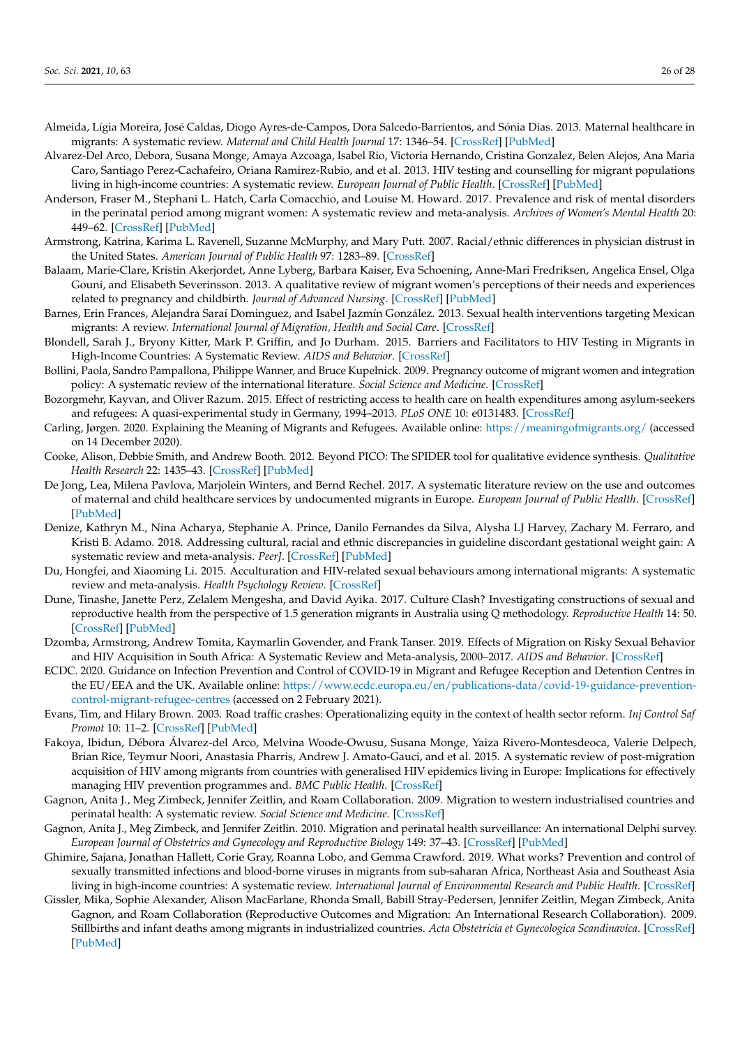- <span id="page-25-13"></span>Almeida, Lígia Moreira, José Caldas, Diogo Ayres-de-Campos, Dora Salcedo-Barrientos, and Sónia Dias. 2013. Maternal healthcare in migrants: A systematic review. *Maternal and Child Health Journal* 17: 1346–54. [\[CrossRef\]](http://doi.org/10.1007/s10995-012-1149-x) [\[PubMed\]](http://www.ncbi.nlm.nih.gov/pubmed/23334357)
- <span id="page-25-14"></span>Alvarez-Del Arco, Debora, Susana Monge, Amaya Azcoaga, Isabel Rio, Victoria Hernando, Cristina Gonzalez, Belen Alejos, Ana Maria Caro, Santiago Perez-Cachafeiro, Oriana Ramirez-Rubio, and et al. 2013. HIV testing and counselling for migrant populations living in high-income countries: A systematic review. *European Journal of Public Health*. [\[CrossRef\]](http://doi.org/10.1093/eurpub/cks130) [\[PubMed\]](http://www.ncbi.nlm.nih.gov/pubmed/23002238)
- <span id="page-25-19"></span>Anderson, Fraser M., Stephani L. Hatch, Carla Comacchio, and Louise M. Howard. 2017. Prevalence and risk of mental disorders in the perinatal period among migrant women: A systematic review and meta-analysis. *Archives of Women's Mental Health* 20: 449–62. [\[CrossRef\]](http://doi.org/10.1007/s00737-017-0723-z) [\[PubMed\]](http://www.ncbi.nlm.nih.gov/pubmed/28389934)
- <span id="page-25-0"></span>Armstrong, Katrina, Karima L. Ravenell, Suzanne McMurphy, and Mary Putt. 2007. Racial/ethnic differences in physician distrust in the United States. *American Journal of Public Health* 97: 1283–89. [\[CrossRef\]](http://doi.org/10.2105/AJPH.2005.080762)
- <span id="page-25-15"></span>Balaam, Marie-Clare, Kristin Akerjordet, Anne Lyberg, Barbara Kaiser, Eva Schoening, Anne-Mari Fredriksen, Angelica Ensel, Olga Gouni, and Elisabeth Severinsson. 2013. A qualitative review of migrant women's perceptions of their needs and experiences related to pregnancy and childbirth. *Journal of Advanced Nursing*. [\[CrossRef\]](http://doi.org/10.1111/jan.12139) [\[PubMed\]](http://www.ncbi.nlm.nih.gov/pubmed/23560897)
- <span id="page-25-11"></span>Barnes, Erin Frances, Alejandra Saraí Dominguez, and Isabel Jazmín González. 2013. Sexual health interventions targeting Mexican migrants: A review. *International Journal of Migration, Health and Social Care*. [\[CrossRef\]](http://doi.org/10.1108/IJMHSC-06-2013-0013)
- <span id="page-25-16"></span>Blondell, Sarah J., Bryony Kitter, Mark P. Griffin, and Jo Durham. 2015. Barriers and Facilitators to HIV Testing in Migrants in High-Income Countries: A Systematic Review. *AIDS and Behavior*. [\[CrossRef\]](http://doi.org/10.1007/s10461-015-1095-x)
- <span id="page-25-6"></span>Bollini, Paola, Sandro Pampallona, Philippe Wanner, and Bruce Kupelnick. 2009. Pregnancy outcome of migrant women and integration policy: A systematic review of the international literature. *Social Science and Medicine*. [\[CrossRef\]](http://doi.org/10.1016/j.socscimed.2008.10.018)
- <span id="page-25-2"></span>Bozorgmehr, Kayvan, and Oliver Razum. 2015. Effect of restricting access to health care on health expenditures among asylum-seekers and refugees: A quasi-experimental study in Germany, 1994–2013. *PLoS ONE* 10: e0131483. [\[CrossRef\]](http://doi.org/10.1371/journal.pone.0131483)
- <span id="page-25-21"></span>Carling, Jørgen. 2020. Explaining the Meaning of Migrants and Refugees. Available online: <https://meaningofmigrants.org/> (accessed on 14 December 2020).
- <span id="page-25-4"></span>Cooke, Alison, Debbie Smith, and Andrew Booth. 2012. Beyond PICO: The SPIDER tool for qualitative evidence synthesis. *Qualitative Health Research* 22: 1435–43. [\[CrossRef\]](http://doi.org/10.1177/1049732312452938) [\[PubMed\]](http://www.ncbi.nlm.nih.gov/pubmed/22829486)
- <span id="page-25-12"></span>De Jong, Lea, Milena Pavlova, Marjolein Winters, and Bernd Rechel. 2017. A systematic literature review on the use and outcomes of maternal and child healthcare services by undocumented migrants in Europe. *European Journal of Public Health*. [\[CrossRef\]](http://doi.org/10.1093/eurpub/ckx181) [\[PubMed\]](http://www.ncbi.nlm.nih.gov/pubmed/29095999)
- <span id="page-25-20"></span>Denize, Kathryn M., Nina Acharya, Stephanie A. Prince, Danilo Fernandes da Silva, Alysha LJ Harvey, Zachary M. Ferraro, and Kristi B. Adamo. 2018. Addressing cultural, racial and ethnic discrepancies in guideline discordant gestational weight gain: A systematic review and meta-analysis. *PeerJ*. [\[CrossRef\]](http://doi.org/10.7717/peerj.5407) [\[PubMed\]](http://www.ncbi.nlm.nih.gov/pubmed/30186674)
- <span id="page-25-17"></span>Du, Hongfei, and Xiaoming Li. 2015. Acculturation and HIV-related sexual behaviours among international migrants: A systematic review and meta-analysis. *Health Psychology Review*. [\[CrossRef\]](http://doi.org/10.1080/17437199.2013.840952)
- <span id="page-25-3"></span>Dune, Tinashe, Janette Perz, Zelalem Mengesha, and David Ayika. 2017. Culture Clash? Investigating constructions of sexual and reproductive health from the perspective of 1.5 generation migrants in Australia using Q methodology. *Reproductive Health* 14: 50. [\[CrossRef\]](http://doi.org/10.1186/s12978-017-0310-9) [\[PubMed\]](http://www.ncbi.nlm.nih.gov/pubmed/28376911)
- <span id="page-25-9"></span>Dzomba, Armstrong, Andrew Tomita, Kaymarlin Govender, and Frank Tanser. 2019. Effects of Migration on Risky Sexual Behavior and HIV Acquisition in South Africa: A Systematic Review and Meta-analysis, 2000–2017. *AIDS and Behavior*. [\[CrossRef\]](http://doi.org/10.1007/s10461-018-2367-z)
- <span id="page-25-1"></span>ECDC. 2020. Guidance on Infection Prevention and Control of COVID-19 in Migrant and Refugee Reception and Detention Centres in the EU/EEA and the UK. Available online: [https://www.ecdc.europa.eu/en/publications-data/covid-19-guidance-prevention](https://www.ecdc.europa.eu/en/publications-data/covid-19-guidance-prevention-control-migrant-refugee-centres)[control-migrant-refugee-centres](https://www.ecdc.europa.eu/en/publications-data/covid-19-guidance-prevention-control-migrant-refugee-centres) (accessed on 2 February 2021).
- <span id="page-25-5"></span>Evans, Tim, and Hilary Brown. 2003. Road traffic crashes: Operationalizing equity in the context of health sector reform. *Inj Control Saf Promot* 10: 11–2. [\[CrossRef\]](http://doi.org/10.1076/icsp.10.1.11.14117) [\[PubMed\]](http://www.ncbi.nlm.nih.gov/pubmed/12772480)
- <span id="page-25-18"></span>Fakoya, Ibidun, Débora Álvarez-del Arco, Melvina Woode-Owusu, Susana Monge, Yaiza Rivero-Montesdeoca, Valerie Delpech, Brian Rice, Teymur Noori, Anastasia Pharris, Andrew J. Amato-Gauci, and et al. 2015. A systematic review of post-migration acquisition of HIV among migrants from countries with generalised HIV epidemics living in Europe: Implications for effectively managing HIV prevention programmes and. *BMC Public Health*. [\[CrossRef\]](http://doi.org/10.1186/s12889-015-1852-9)
- <span id="page-25-7"></span>Gagnon, Anita J., Meg Zimbeck, Jennifer Zeitlin, and Roam Collaboration. 2009. Migration to western industrialised countries and perinatal health: A systematic review. *Social Science and Medicine*. [\[CrossRef\]](http://doi.org/10.1016/j.socscimed.2009.06.027)
- <span id="page-25-22"></span>Gagnon, Anita J., Meg Zimbeck, and Jennifer Zeitlin. 2010. Migration and perinatal health surveillance: An international Delphi survey. *European Journal of Obstetrics and Gynecology and Reproductive Biology* 149: 37–43. [\[CrossRef\]](http://doi.org/10.1016/j.ejogrb.2009.12.002) [\[PubMed\]](http://www.ncbi.nlm.nih.gov/pubmed/20074849)
- <span id="page-25-10"></span>Ghimire, Sajana, Jonathan Hallett, Corie Gray, Roanna Lobo, and Gemma Crawford. 2019. What works? Prevention and control of sexually transmitted infections and blood-borne viruses in migrants from sub-saharan Africa, Northeast Asia and Southeast Asia living in high-income countries: A systematic review. *International Journal of Environmental Research and Public Health*. [\[CrossRef\]](http://doi.org/10.3390/ijerph16071287)
- <span id="page-25-8"></span>Gissler, Mika, Sophie Alexander, Alison MacFarlane, Rhonda Small, Babill Stray-Pedersen, Jennifer Zeitlin, Megan Zimbeck, Anita Gagnon, and Roam Collaboration (Reproductive Outcomes and Migration: An International Research Collaboration). 2009. Stillbirths and infant deaths among migrants in industrialized countries. *Acta Obstetricia et Gynecologica Scandinavica*. [\[CrossRef\]](http://doi.org/10.1080/00016340802603805) [\[PubMed\]](http://www.ncbi.nlm.nih.gov/pubmed/19096947)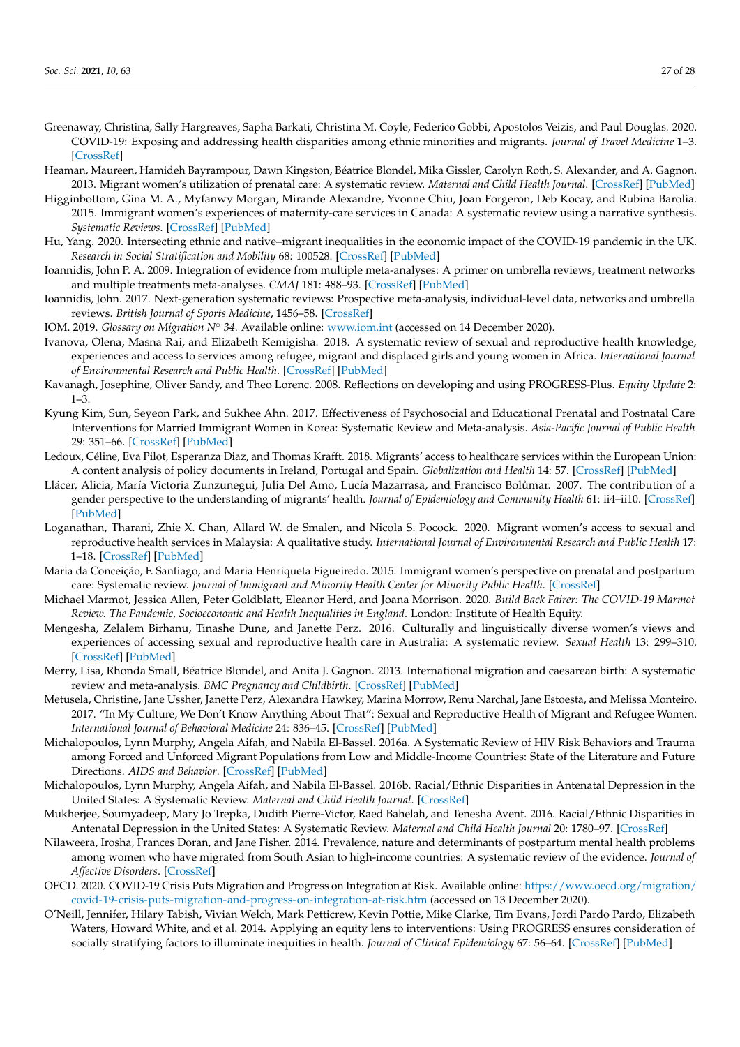- <span id="page-26-1"></span>Greenaway, Christina, Sally Hargreaves, Sapha Barkati, Christina M. Coyle, Federico Gobbi, Apostolos Veizis, and Paul Douglas. 2020. COVID-19: Exposing and addressing health disparities among ethnic minorities and migrants. *Journal of Travel Medicine* 1–3. [\[CrossRef\]](http://doi.org/10.1093/jtm/taaa113)
- <span id="page-26-11"></span>Heaman, Maureen, Hamideh Bayrampour, Dawn Kingston, Béatrice Blondel, Mika Gissler, Carolyn Roth, S. Alexander, and A. Gagnon. 2013. Migrant women's utilization of prenatal care: A systematic review. *Maternal and Child Health Journal*. [\[CrossRef\]](http://doi.org/10.1007/s10995-012-1058-z) [\[PubMed\]](http://www.ncbi.nlm.nih.gov/pubmed/22714797)
- <span id="page-26-14"></span>Higginbottom, Gina M. A., Myfanwy Morgan, Mirande Alexandre, Yvonne Chiu, Joan Forgeron, Deb Kocay, and Rubina Barolia. 2015. Immigrant women's experiences of maternity-care services in Canada: A systematic review using a narrative synthesis. *Systematic Reviews*. [\[CrossRef\]](http://doi.org/10.1186/2046-4053-4-13) [\[PubMed\]](http://www.ncbi.nlm.nih.gov/pubmed/26187687)
- <span id="page-26-22"></span>Hu, Yang. 2020. Intersecting ethnic and native–migrant inequalities in the economic impact of the COVID-19 pandemic in the UK. *Research in Social Stratification and Mobility* 68: 100528. [\[CrossRef\]](http://doi.org/10.1016/j.rssm.2020.100528) [\[PubMed\]](http://www.ncbi.nlm.nih.gov/pubmed/32834346)
- <span id="page-26-6"></span>Ioannidis, John P. A. 2009. Integration of evidence from multiple meta-analyses: A primer on umbrella reviews, treatment networks and multiple treatments meta-analyses. *CMAJ* 181: 488–93. [\[CrossRef\]](http://doi.org/10.1503/cmaj.081086) [\[PubMed\]](http://www.ncbi.nlm.nih.gov/pubmed/19654195)
- <span id="page-26-7"></span>Ioannidis, John. 2017. Next-generation systematic reviews: Prospective meta-analysis, individual-level data, networks and umbrella reviews. *British Journal of Sports Medicine*, 1456–58. [\[CrossRef\]](http://doi.org/10.1136/bjsports-2017-097621)
- <span id="page-26-8"></span>IOM. 2019. *Glossary on Migration N*◦ *34*. Available online: <www.iom.int> (accessed on 14 December 2020).
- <span id="page-26-21"></span>Ivanova, Olena, Masna Rai, and Elizabeth Kemigisha. 2018. A systematic review of sexual and reproductive health knowledge, experiences and access to services among refugee, migrant and displaced girls and young women in Africa. *International Journal of Environmental Research and Public Health*. [\[CrossRef\]](http://doi.org/10.3390/ijerph15081583) [\[PubMed\]](http://www.ncbi.nlm.nih.gov/pubmed/30049940)
- <span id="page-26-10"></span>Kavanagh, Josephine, Oliver Sandy, and Theo Lorenc. 2008. Reflections on developing and using PROGRESS-Plus. *Equity Update* 2:  $1 - 3$ .
- <span id="page-26-20"></span>Kyung Kim, Sun, Seyeon Park, and Sukhee Ahn. 2017. Effectiveness of Psychosocial and Educational Prenatal and Postnatal Care Interventions for Married Immigrant Women in Korea: Systematic Review and Meta-analysis. *Asia-Pacific Journal of Public Health* 29: 351–66. [\[CrossRef\]](http://doi.org/10.1177/1010539517717364) [\[PubMed\]](http://www.ncbi.nlm.nih.gov/pubmed/28719791)
- <span id="page-26-2"></span>Ledoux, Céline, Eva Pilot, Esperanza Diaz, and Thomas Krafft. 2018. Migrants' access to healthcare services within the European Union: A content analysis of policy documents in Ireland, Portugal and Spain. *Globalization and Health* 14: 57. [\[CrossRef\]](http://doi.org/10.1186/s12992-018-0373-6) [\[PubMed\]](http://www.ncbi.nlm.nih.gov/pubmed/29903036)
- <span id="page-26-3"></span>Llácer, Alicia, María Victoria Zunzunegui, Julia Del Amo, Lucía Mazarrasa, and Francisco Bolůmar. 2007. The contribution of a gender perspective to the understanding of migrants' health. *Journal of Epidemiology and Community Health* 61: ii4–ii10. [\[CrossRef\]](http://doi.org/10.1136/jech.2007.061770) [\[PubMed\]](http://www.ncbi.nlm.nih.gov/pubmed/18000117)
- <span id="page-26-4"></span>Loganathan, Tharani, Zhie X. Chan, Allard W. de Smalen, and Nicola S. Pocock. 2020. Migrant women's access to sexual and reproductive health services in Malaysia: A qualitative study. *International Journal of Environmental Research and Public Health* 17: 1–18. [\[CrossRef\]](http://doi.org/10.3390/ijerph17155376) [\[PubMed\]](http://www.ncbi.nlm.nih.gov/pubmed/32722563)
- <span id="page-26-15"></span>Maria da Conceição, F. Santiago, and Maria Henriqueta Figueiredo. 2015. Immigrant women's perspective on prenatal and postpartum care: Systematic review. *Journal of Immigrant and Minority Health Center for Minority Public Health*. [\[CrossRef\]](http://doi.org/10.1007/s10903-013-9915-4)
- <span id="page-26-23"></span>Michael Marmot, Jessica Allen, Peter Goldblatt, Eleanor Herd, and Joana Morrison. 2020. *Build Back Fairer: The COVID-19 Marmot Review. The Pandemic, Socioeconomic and Health Inequalities in England*. London: Institute of Health Equity.
- <span id="page-26-19"></span>Mengesha, Zelalem Birhanu, Tinashe Dune, and Janette Perz. 2016. Culturally and linguistically diverse women's views and experiences of accessing sexual and reproductive health care in Australia: A systematic review. *Sexual Health* 13: 299–310. [\[CrossRef\]](http://doi.org/10.1071/SH15235) [\[PubMed\]](http://www.ncbi.nlm.nih.gov/pubmed/27209062)
- <span id="page-26-12"></span>Merry, Lisa, Rhonda Small, Béatrice Blondel, and Anita J. Gagnon. 2013. International migration and caesarean birth: A systematic review and meta-analysis. *BMC Pregnancy and Childbirth*. [\[CrossRef\]](http://doi.org/10.1186/1471-2393-13-27) [\[PubMed\]](http://www.ncbi.nlm.nih.gov/pubmed/23360183)
- <span id="page-26-5"></span>Metusela, Christine, Jane Ussher, Janette Perz, Alexandra Hawkey, Marina Morrow, Renu Narchal, Jane Estoesta, and Melissa Monteiro. 2017. "In My Culture, We Don't Know Anything About That": Sexual and Reproductive Health of Migrant and Refugee Women. *International Journal of Behavioral Medicine* 24: 836–45. [\[CrossRef\]](http://doi.org/10.1007/s12529-017-9662-3) [\[PubMed\]](http://www.ncbi.nlm.nih.gov/pubmed/28620774)
- <span id="page-26-16"></span>Michalopoulos, Lynn Murphy, Angela Aifah, and Nabila El-Bassel. 2016a. A Systematic Review of HIV Risk Behaviors and Trauma among Forced and Unforced Migrant Populations from Low and Middle-Income Countries: State of the Literature and Future Directions. *AIDS and Behavior*. [\[CrossRef\]](http://doi.org/10.1007/s10461-015-1014-1) [\[PubMed\]](http://www.ncbi.nlm.nih.gov/pubmed/25662963)
- <span id="page-26-17"></span>Michalopoulos, Lynn Murphy, Angela Aifah, and Nabila El-Bassel. 2016b. Racial/Ethnic Disparities in Antenatal Depression in the United States: A Systematic Review. *Maternal and Child Health Journal*. [\[CrossRef\]](http://doi.org/10.1007/s10995-016-1989-x)
- <span id="page-26-18"></span>Mukherjee, Soumyadeep, Mary Jo Trepka, Dudith Pierre-Victor, Raed Bahelah, and Tenesha Avent. 2016. Racial/Ethnic Disparities in Antenatal Depression in the United States: A Systematic Review. *Maternal and Child Health Journal* 20: 1780–97. [\[CrossRef\]](http://doi.org/10.1007/s10995-016-1989-x)
- <span id="page-26-13"></span>Nilaweera, Irosha, Frances Doran, and Jane Fisher. 2014. Prevalence, nature and determinants of postpartum mental health problems among women who have migrated from South Asian to high-income countries: A systematic review of the evidence. *Journal of Affective Disorders*. [\[CrossRef\]](http://doi.org/10.1016/j.jad.2014.05.021)
- <span id="page-26-0"></span>OECD. 2020. COVID-19 Crisis Puts Migration and Progress on Integration at Risk. Available online: [https://www.oecd.org/migration/](https://www.oecd.org/migration/covid-19-crisis-puts-migration-and-progress-on-integration-at-risk.htm) [covid-19-crisis-puts-migration-and-progress-on-integration-at-risk.htm](https://www.oecd.org/migration/covid-19-crisis-puts-migration-and-progress-on-integration-at-risk.htm) (accessed on 13 December 2020).
- <span id="page-26-9"></span>O'Neill, Jennifer, Hilary Tabish, Vivian Welch, Mark Petticrew, Kevin Pottie, Mike Clarke, Tim Evans, Jordi Pardo Pardo, Elizabeth Waters, Howard White, and et al. 2014. Applying an equity lens to interventions: Using PROGRESS ensures consideration of socially stratifying factors to illuminate inequities in health. *Journal of Clinical Epidemiology* 67: 56–64. [\[CrossRef\]](http://doi.org/10.1016/j.jclinepi.2013.08.005) [\[PubMed\]](http://www.ncbi.nlm.nih.gov/pubmed/24189091)